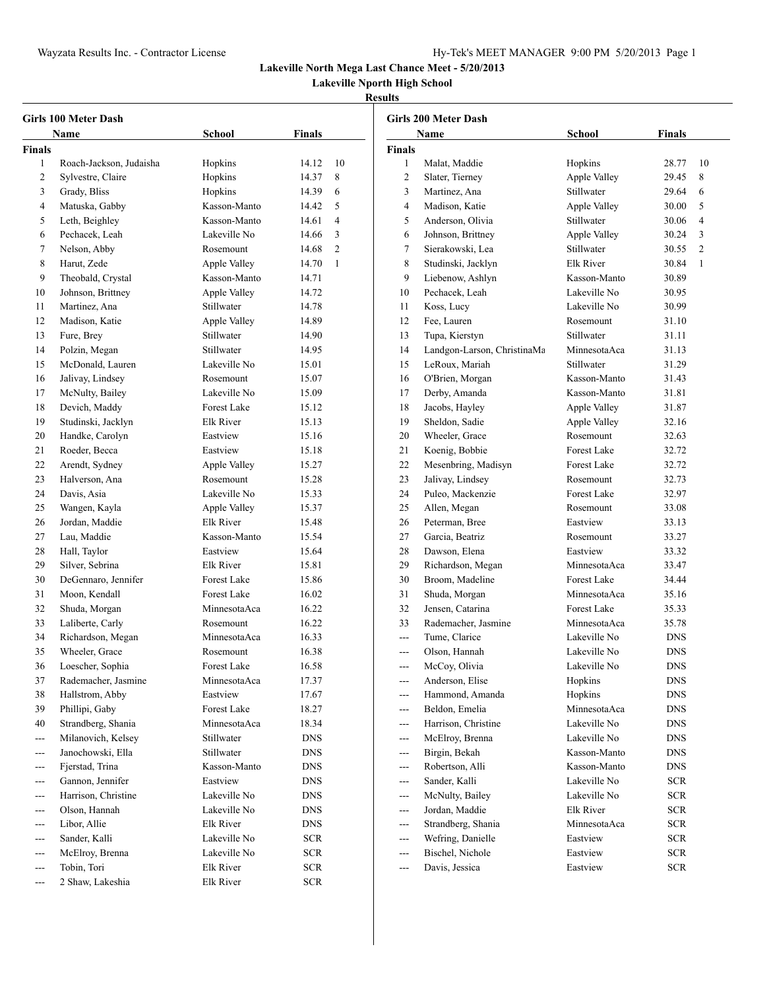**Lakeville Nporth High School**

| <b>Girls 100 Meter Dash</b> |                         |                    |               |                |
|-----------------------------|-------------------------|--------------------|---------------|----------------|
|                             | Name                    | <b>School</b>      | <b>Finals</b> |                |
| Finals                      |                         |                    |               |                |
| 1                           | Roach-Jackson, Judaisha | Hopkins            | 14.12         | 10             |
| 2                           | Sylvestre, Claire       | Hopkins            | 14.37         | 8              |
| 3                           | Grady, Bliss            | Hopkins            | 14.39         | 6              |
| 4                           | Matuska, Gabby          | Kasson-Manto       | 14.42         | 5              |
| 5                           | Leth, Beighley          | Kasson-Manto       | 14.61         | 4              |
| 6                           | Pechacek, Leah          | Lakeville No       | 14.66         | 3              |
| 7                           | Nelson, Abby            | Rosemount          | 14.68         | $\overline{c}$ |
| 8                           | Harut, Zede             | Apple Valley       | 14.70         | 1              |
| 9                           | Theobald, Crystal       | Kasson-Manto       | 14.71         |                |
| 10                          | Johnson, Brittney       | Apple Valley       | 14.72         |                |
| 11                          | Martinez, Ana           | Stillwater         | 14.78         |                |
| 12                          | Madison, Katie          | Apple Valley       | 14.89         |                |
| 13                          | Fure, Brey              | Stillwater         | 14.90         |                |
| 14                          | Polzin, Megan           | Stillwater         | 14.95         |                |
| 15                          | McDonald, Lauren        | Lakeville No       | 15.01         |                |
| 16                          | Jalivay, Lindsey        | Rosemount          | 15.07         |                |
| 17                          | McNulty, Bailey         | Lakeville No       | 15.09         |                |
| 18                          | Devich, Maddy           | Forest Lake        | 15.12         |                |
| 19                          | Studinski, Jacklyn      | <b>Elk River</b>   | 15.13         |                |
| 20                          | Handke, Carolyn         | Eastview           | 15.16         |                |
| 21                          | Roeder, Becca           | Eastview           | 15.18         |                |
| 22                          | Arendt, Sydney          | Apple Valley       | 15.27         |                |
| 23                          | Halverson, Ana          | Rosemount          | 15.28         |                |
| 24                          | Davis, Asia             | Lakeville No       | 15.33         |                |
| 25                          | Wangen, Kayla           | Apple Valley       | 15.37         |                |
| 26                          | Jordan, Maddie          | Elk River          | 15.48         |                |
| 27                          | Lau, Maddie             | Kasson-Manto       | 15.54         |                |
| 28                          | Hall, Taylor            | Eastview           | 15.64         |                |
| 29                          | Silver, Sebrina         | Elk River          | 15.81         |                |
| 30                          | DeGennaro, Jennifer     | <b>Forest Lake</b> | 15.86         |                |
| 31                          | Moon, Kendall           | <b>Forest Lake</b> | 16.02         |                |
| 32                          | Shuda, Morgan           | MinnesotaAca       | 16.22         |                |
| 33                          | Laliberte, Carly        | Rosemount          | 16.22         |                |
| 34                          | Richardson, Megan       | MinnesotaAca       | 16.33         |                |
| 35                          | Wheeler, Grace          | Rosemount          | 16.38         |                |
| 36                          | Loescher, Sophia        | Forest Lake        | 16.58         |                |
| 37                          | Rademacher, Jasmine     | MinnesotaAca       | 17.37         |                |
| 38                          | Hallstrom, Abby         | Eastview           | 17.67         |                |
| 39                          | Phillipi, Gaby          | Forest Lake        | 18.27         |                |
| 40                          | Strandberg, Shania      | MinnesotaAca       | 18.34         |                |
| ---                         | Milanovich, Kelsey      | Stillwater         | <b>DNS</b>    |                |
| ---                         | Janochowski, Ella       | Stillwater         | <b>DNS</b>    |                |
| ---                         | Fjerstad, Trina         | Kasson-Manto       | DNS           |                |
| ---                         | Gannon, Jennifer        | Eastview           | DNS           |                |
| ---                         | Harrison, Christine     | Lakeville No       | <b>DNS</b>    |                |
| $---$                       | Olson, Hannah           | Lakeville No       | DNS           |                |
| ---                         | Libor, Allie            | Elk River          | DNS           |                |
| ---                         | Sander, Kalli           | Lakeville No       | <b>SCR</b>    |                |
| ---                         | McElroy, Brenna         | Lakeville No       | <b>SCR</b>    |                |
| ---                         | Tobin, Tori             | Elk River          | <b>SCR</b>    |                |
| ---                         | 2 Shaw, Lakeshia        | Elk River          | <b>SCR</b>    |                |

| Girls 200 Meter Dash |                             |                    |                  |                |
|----------------------|-----------------------------|--------------------|------------------|----------------|
|                      | Name                        | School             | Finals           |                |
| <b>Finals</b>        |                             |                    |                  |                |
| 1                    | Malat, Maddie               | Hopkins            | 28.77            | 10             |
| 2                    | Slater, Tierney             | Apple Valley       | 29.45            | 8              |
| 3                    | Martinez, Ana               | Stillwater         | 29.64            | 6              |
| 4                    | Madison, Katie              | Apple Valley       | 30.00            | 5              |
| 5                    | Anderson, Olivia            | Stillwater         | 30.06            | 4              |
| 6                    | Johnson, Brittney           | Apple Valley       | 30.24            | 3              |
| 7                    | Sierakowski, Lea            | Stillwater         | 30.55            | $\overline{c}$ |
| 8                    | Studinski, Jacklyn          | Elk River          | 30.84            | 1              |
| 9                    | Liebenow, Ashlyn            | Kasson-Manto       | 30.89            |                |
| 10                   | Pechacek, Leah              | Lakeville No       | 30.95            |                |
| 11                   | Koss, Lucy                  | Lakeville No       | 30.99            |                |
| 12                   | Fee, Lauren                 | Rosemount          | 31.10            |                |
| 13                   | Tupa, Kierstyn              | Stillwater         | 31.11            |                |
| 14                   | Landgon-Larson, ChristinaMa | MinnesotaAca       | 31.13            |                |
| 15                   | LeRoux, Mariah              | Stillwater         | 31.29            |                |
| 16                   | O'Brien, Morgan             | Kasson-Manto       | 31.43            |                |
| 17                   | Derby, Amanda               | Kasson-Manto       | 31.81            |                |
| 18                   | Jacobs, Hayley              | Apple Valley       | 31.87            |                |
| 19                   | Sheldon, Sadie              | Apple Valley       | 32.16            |                |
| 20                   | Wheeler, Grace              | Rosemount          | 32.63            |                |
| 21                   | Koenig, Bobbie              | <b>Forest Lake</b> | 32.72            |                |
| 22                   | Mesenbring, Madisyn         | <b>Forest Lake</b> | 32.72            |                |
| 23                   | Jalivay, Lindsey            | Rosemount          | 32.73            |                |
| 24                   | Puleo, Mackenzie            | <b>Forest Lake</b> | 32.97            |                |
| 25                   | Allen, Megan                | Rosemount          | 33.08            |                |
| 26                   | Peterman, Bree              | Eastview           | 33.13            |                |
| 27                   | Garcia, Beatriz             | Rosemount          | 33.27            |                |
| 28                   | Dawson, Elena               | Eastview           | 33.32            |                |
| 29                   | Richardson, Megan           | MinnesotaAca       | 33.47            |                |
| 30                   | Broom, Madeline             | <b>Forest Lake</b> | 34.44            |                |
| 31                   | Shuda, Morgan               | MinnesotaAca       | 35.16            |                |
| 32                   | Jensen, Catarina            | <b>Forest Lake</b> | 35.33            |                |
| 33                   | Rademacher, Jasmine         | MinnesotaAca       | 35.78            |                |
| ---                  | Tume, Clarice               | Lakeville No       | <b>DNS</b>       |                |
| ---                  | Olson, Hannah               | Lakeville No       | <b>DNS</b>       |                |
| ---                  | McCoy, Olivia               | Lakeville No       | <b>DNS</b>       |                |
|                      | Anderson, Elise             | Hopkins            | DNS              |                |
|                      | Hammond, Amanda             | Hopkins            | <b>DNS</b>       |                |
| ---                  | Beldon, Emelia              | MinnesotaAca       | DNS              |                |
| ---                  | Harrison, Christine         | Lakeville No       | DNS              |                |
| ---                  | McElroy, Brenna             | Lakeville No       | <b>DNS</b>       |                |
| ---                  | Birgin, Bekah               | Kasson-Manto       | DNS              |                |
| ---                  | Robertson, Alli             | Kasson-Manto       | DNS              |                |
| ---                  | Sander, Kalli               | Lakeville No       | <b>SCR</b>       |                |
| ---                  | McNulty, Bailey             | Lakeville No       | <b>SCR</b>       |                |
| ---                  | Jordan, Maddie              | Elk River          | <b>SCR</b>       |                |
| ---                  | Strandberg, Shania          | MinnesotaAca       | <b>SCR</b>       |                |
| ---                  | Wefring, Danielle           | Eastview           | <b>SCR</b>       |                |
| ---                  | Bischel, Nichole            | Eastview           | ${{\mbox{SCR}}}$ |                |
| ---                  | Davis, Jessica              | Eastview           | SCR              |                |
|                      |                             |                    |                  |                |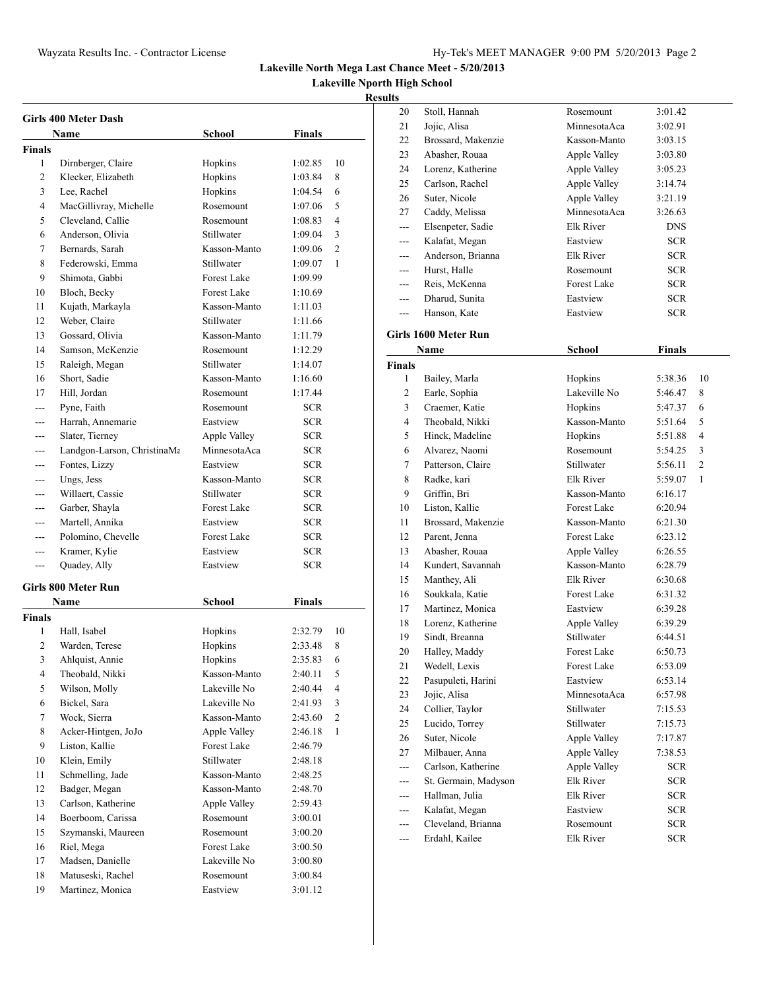**Lakeville Nporth High School**

| Girls 400 Meter Dash |                             |                    |               |                |
|----------------------|-----------------------------|--------------------|---------------|----------------|
|                      | Name                        | School             | Finals        |                |
| Finals               |                             |                    |               |                |
| 1                    | Dirnberger, Claire          | Hopkins            | 1:02.85       | 10             |
| 2                    | Klecker, Elizabeth          | Hopkins            | 1:03.84       | 8              |
| 3                    | Lee, Rachel                 | Hopkins            | 1:04.54       | 6              |
| 4                    | MacGillivray, Michelle      | Rosemount          | 1:07.06       | 5              |
| 5                    | Cleveland, Callie           | Rosemount          | 1:08.83       | 4              |
| 6                    | Anderson, Olivia            | Stillwater         | 1:09.04       | 3              |
| 7                    | Bernards, Sarah             | Kasson-Manto       | 1:09.06       | $\overline{c}$ |
| 8                    | Federowski, Emma            | Stillwater         | 1:09.07       | 1              |
| 9                    | Shimota, Gabbi              | Forest Lake        | 1:09.99       |                |
| 10                   | Bloch, Becky                | Forest Lake        | 1:10.69       |                |
| 11                   | Kujath, Markayla            | Kasson-Manto       | 1:11.03       |                |
| 12                   | Weber, Claire               | Stillwater         | 1:11.66       |                |
| 13                   | Gossard, Olivia             | Kasson-Manto       | 1:11.79       |                |
| 14                   | Samson, McKenzie            | Rosemount          | 1:12.29       |                |
| 15                   | Raleigh, Megan              | Stillwater         | 1:14.07       |                |
| 16                   | Short, Sadie                | Kasson-Manto       | 1:16.60       |                |
| 17                   | Hill, Jordan                | Rosemount          | 1:17.44       |                |
| ---                  | Pyne, Faith                 | Rosemount          | SCR           |                |
| ---                  | Harrah, Annemarie           | Eastview           | SCR           |                |
| ---                  | Slater, Tierney             | Apple Valley       | <b>SCR</b>    |                |
| ---                  | Landgon-Larson, ChristinaMa | MinnesotaAca       | <b>SCR</b>    |                |
|                      | Fontes, Lizzy               | Eastview           | <b>SCR</b>    |                |
| ---                  | Ungs, Jess                  | Kasson-Manto       | <b>SCR</b>    |                |
| ---                  | Willaert, Cassie            | Stillwater         | <b>SCR</b>    |                |
| ---                  | Garber, Shayla              | <b>Forest Lake</b> | <b>SCR</b>    |                |
| $---$                | Martell, Annika             | Eastview           | <b>SCR</b>    |                |
| ---                  | Polomino, Chevelle          | <b>Forest Lake</b> | <b>SCR</b>    |                |
| ---                  | Kramer, Kylie               | Eastview           | <b>SCR</b>    |                |
| ---                  | Quadey, Ally                | Eastview           | <b>SCR</b>    |                |
|                      |                             |                    |               |                |
|                      | Girls 800 Meter Run         |                    |               |                |
|                      | Name                        | <b>School</b>      | <b>Finals</b> |                |
| Finals               |                             |                    |               |                |
| 1                    | Hall, Isabel                | Hopkins            | 2:32.79       | 10             |
| $\overline{2}$       | Warden, Terese              | Hopkins            | 2:33.48       | 8              |
| 3                    | Ahlquist, Annie             | Hopkins            | 2:35.83       | 6              |
| 4                    | Theobald, Nikki             | Kasson-Manto       | 2:40.11       | 5              |
| 5                    | Wilson, Molly               | Lakeville No       | 2:40.44       | 4              |
| 6                    | Bickel, Sara                | Lakeville No       | 2:41.93       | 3              |
| 7                    | Wock, Sierra                | Kasson-Manto       | 2:43.60       | 2              |
| 8                    | Acker-Hintgen, JoJo         | Apple Valley       | 2:46.18       | 1              |
| 9                    | Liston, Kallie              | Forest Lake        | 2:46.79       |                |
| 10                   | Klein, Emily                | Stillwater         | 2:48.18       |                |
| 11                   | Schmelling, Jade            | Kasson-Manto       | 2:48.25       |                |
| 12                   | Badger, Megan               | Kasson-Manto       | 2:48.70       |                |
| 13                   | Carlson, Katherine          | Apple Valley       | 2:59.43       |                |
| 14                   | Boerboom, Carissa           | Rosemount          | 3:00.01       |                |
| 15                   | Szymanski, Maureen          | Rosemount          | 3:00.20       |                |
| 16                   | Riel, Mega                  | Forest Lake        | 3:00.50       |                |
| 17                   | Madsen, Danielle            | Lakeville No       | 3:00.80       |                |
| 18                   | Matuseski, Rachel           | Rosemount          | 3:00.84       |                |
| 19                   | Martinez, Monica            | Eastview           | 3:01.12       |                |

| 20             | Stoll, Hannah        | Rosemount          | 3:01.42    |                |
|----------------|----------------------|--------------------|------------|----------------|
| 21             | Jojic, Alisa         | MinnesotaAca       | 3:02.91    |                |
| 22             | Brossard, Makenzie   | Kasson-Manto       | 3:03.15    |                |
| 23             | Abasher, Rouaa       | Apple Valley       | 3:03.80    |                |
| 24             | Lorenz, Katherine    | Apple Valley       | 3:05.23    |                |
| 25             | Carlson, Rachel      | Apple Valley       | 3:14.74    |                |
| 26             | Suter, Nicole        | Apple Valley       | 3:21.19    |                |
| 27             | Caddy, Melissa       | MinnesotaAca       | 3:26.63    |                |
| $\overline{a}$ | Elsenpeter, Sadie    | Elk River          | <b>DNS</b> |                |
| ---            | Kalafat, Megan       | Eastview           | <b>SCR</b> |                |
| $\overline{a}$ | Anderson, Brianna    | Elk River          | <b>SCR</b> |                |
| ---            | Hurst, Halle         | Rosemount          | <b>SCR</b> |                |
| $---$          | Reis, McKenna        | Forest Lake        | <b>SCR</b> |                |
| ---            | Dharud, Sunita       | Eastview           | <b>SCR</b> |                |
| $---$          | Hanson, Kate         | Eastview           | <b>SCR</b> |                |
|                |                      |                    |            |                |
|                | Girls 1600 Meter Run |                    |            |                |
|                | Name                 | <b>School</b>      | Finals     |                |
| <b>Finals</b>  |                      |                    |            |                |
| 1              | Bailey, Marla        | Hopkins            | 5:38.36    | 10             |
| 2              | Earle, Sophia        | Lakeville No       | 5:46.47    | 8              |
| 3              | Craemer, Katie       | Hopkins            | 5:47.37    | 6              |
| $\overline{4}$ | Theobald, Nikki      | Kasson-Manto       | 5:51.64    | 5              |
| 5              | Hinck, Madeline      | Hopkins            | 5:51.88    | 4              |
| 6              | Alvarez, Naomi       | Rosemount          | 5:54.25    | 3              |
| 7              | Patterson, Claire    | Stillwater         | 5:56.11    | $\overline{c}$ |
| 8              | Radke, kari          | Elk River          | 5:59.07    | 1              |
| 9              | Griffin, Bri         | Kasson-Manto       | 6:16.17    |                |
| 10             | Liston, Kallie       | <b>Forest Lake</b> | 6:20.94    |                |
| 11             | Brossard, Makenzie   | Kasson-Manto       | 6:21.30    |                |
| 12             | Parent, Jenna        | Forest Lake        | 6:23.12    |                |
| 13             | Abasher, Rouaa       | Apple Valley       | 6:26.55    |                |
| 14             | Kundert, Savannah    | Kasson-Manto       | 6:28.79    |                |
| 15             | Manthey, Ali         | Elk River          | 6:30.68    |                |
| 16             | Soukkala, Katie      | Forest Lake        | 6:31.32    |                |
| 17             | Martinez, Monica     | Eastview           | 6:39.28    |                |
| 18             | Lorenz, Katherine    | Apple Valley       | 6:39.29    |                |
| 19             | Sindt, Breanna       | Stillwater         | 6:44.51    |                |
| 20             | Halley, Maddy        | <b>Forest Lake</b> | 6:50.73    |                |
| 21             | Wedell, Lexis        | Forest Lake        | 6:53.09    |                |
| 22             | Pasupuleti, Harini   | Eastview           | 6:53.14    |                |
| 23             | Jojic, Alisa         | MinnesotaAca       | 6:57.98    |                |
| 24             | Collier, Taylor      | Stillwater         | 7:15.53    |                |
| 25             | Lucido, Torrey       | Stillwater         | 7:15.73    |                |
| 26             | Suter, Nicole        | Apple Valley       | 7:17.87    |                |
| 27             | Milbauer, Anna       | Apple Valley       | 7:38.53    |                |
| ---            | Carlson, Katherine   | Apple Valley       | <b>SCR</b> |                |
| ---            | St. Germain, Madyson | Elk River          | <b>SCR</b> |                |
| ---            | Hallman, Julia       | Elk River          | <b>SCR</b> |                |
| ---            | Kalafat, Megan       | Eastview           | <b>SCR</b> |                |
| ---            | Cleveland, Brianna   | Rosemount          | <b>SCR</b> |                |
| ---            | Erdahl, Kailee       | Elk River          | SCR        |                |
|                |                      |                    |            |                |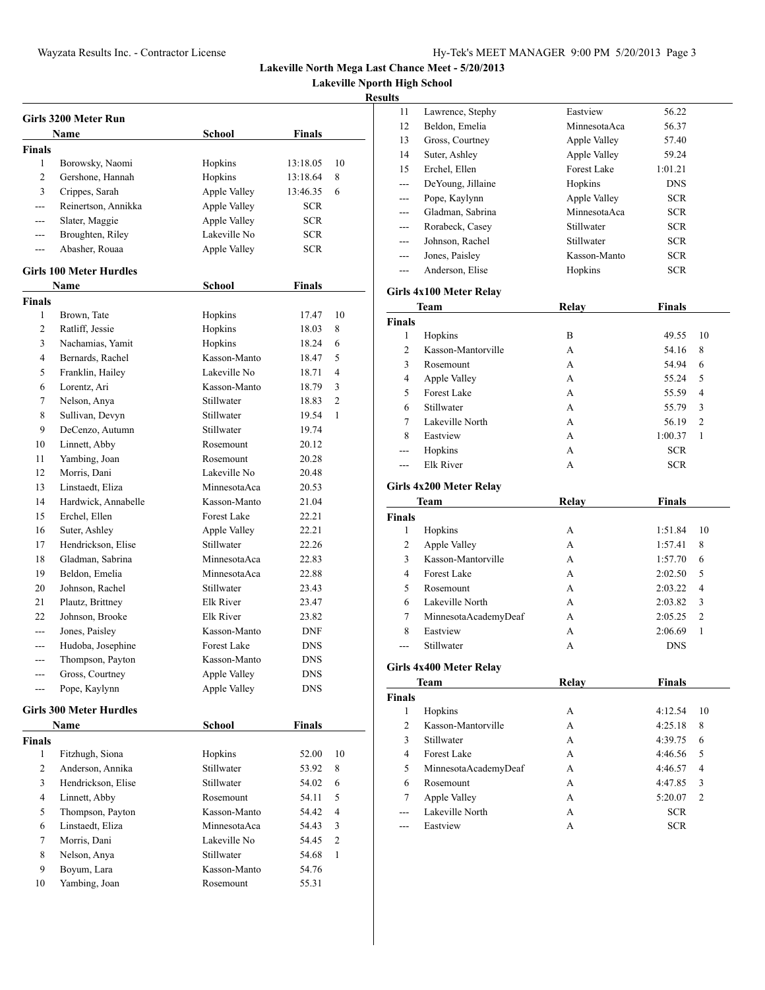**Lakeville Nporth High School**

| <b>Girls 3200 Meter Run</b> |                                |                    |               |                |  |
|-----------------------------|--------------------------------|--------------------|---------------|----------------|--|
|                             | Name                           | <b>School</b>      | Finals        |                |  |
| <b>Finals</b>               |                                |                    |               |                |  |
| 1                           | Borowsky, Naomi                | Hopkins            | 13:18.05      | 10             |  |
| $\overline{c}$              | Gershone, Hannah               | Hopkins            | 13:18.64      | 8              |  |
| 3                           | Crippes, Sarah                 | Apple Valley       | 13:46.35      | 6              |  |
| $\overline{a}$              | Reinertson, Annikka            | Apple Valley       | SCR.          |                |  |
| $\overline{a}$              | Slater, Maggie                 | Apple Valley       | <b>SCR</b>    |                |  |
| $---$                       | Broughten, Riley               | Lakeville No       | <b>SCR</b>    |                |  |
| $---$                       | Abasher, Rouaa                 | Apple Valley       | <b>SCR</b>    |                |  |
|                             | <b>Girls 100 Meter Hurdles</b> |                    |               |                |  |
|                             | <b>Name</b>                    | <b>School</b>      | <b>Finals</b> |                |  |
| <b>Finals</b>               |                                |                    |               |                |  |
| 1                           | Brown, Tate                    | Hopkins            | 17.47         | 10             |  |
| 2                           | Ratliff, Jessie                | Hopkins            | 18.03         | 8              |  |
| 3                           | Nachamias, Yamit               | Hopkins            | 18.24         | 6              |  |
| 4                           | Bernards, Rachel               | Kasson-Manto       | 18.47         | 5              |  |
| 5                           | Franklin, Hailey               | Lakeville No       | 18.71         | 4              |  |
| 6                           | Lorentz, Ari                   | Kasson-Manto       | 18.79         | 3              |  |
| 7                           | Nelson, Anya                   | Stillwater         | 18.83         | $\overline{2}$ |  |
| 8                           | Sullivan, Devyn                | Stillwater         | 19.54         | 1              |  |
| 9                           | DeCenzo, Autumn                | Stillwater         | 19.74         |                |  |
| 10                          | Linnett, Abby                  | Rosemount          | 20.12         |                |  |
| 11                          | Yambing, Joan                  | Rosemount          | 20.28         |                |  |
| 12                          | Morris, Dani                   | Lakeville No       | 20.48         |                |  |
| 13                          | Linstaedt, Eliza               | MinnesotaAca       | 20.53         |                |  |
| 14                          | Hardwick, Annabelle            | Kasson-Manto       | 21.04         |                |  |
| 15                          | Erchel, Ellen                  | <b>Forest Lake</b> | 22.21         |                |  |
| 16                          | Suter, Ashley                  | Apple Valley       | 22.21         |                |  |
| 17                          | Hendrickson, Elise             | Stillwater         | 22.26         |                |  |
| 18                          | Gladman, Sabrina               | MinnesotaAca       | 22.83         |                |  |
| 19                          | Beldon, Emelia                 | MinnesotaAca       | 22.88         |                |  |
| 20                          | Johnson, Rachel                | Stillwater         | 23.43         |                |  |
| 21                          | Plautz, Brittney               | Elk River          | 23.47         |                |  |
| 22                          | Johnson, Brooke                | Elk River          | 23.82         |                |  |
| ---                         | Jones, Paisley                 | Kasson-Manto       | <b>DNF</b>    |                |  |
| ---                         | Hudoba, Josephine              | Forest Lake        | <b>DNS</b>    |                |  |
| $---$                       | Thompson, Payton               | Kasson-Manto       | <b>DNS</b>    |                |  |
|                             | Gross, Courtney                | Apple Valley       | <b>DNS</b>    |                |  |
| $---$                       | Pope, Kaylynn                  | Apple Valley       | DNS           |                |  |
|                             |                                |                    |               |                |  |
|                             | <b>Girls 300 Meter Hurdles</b> |                    |               |                |  |
|                             | Name                           | School             | <b>Finals</b> |                |  |
| <b>Finals</b>               |                                |                    |               |                |  |
| 1                           | Fitzhugh, Siona                | Hopkins            | 52.00         | 10             |  |
| 2                           | Anderson, Annika               | Stillwater         | 53.92         | 8              |  |
| 3                           | Hendrickson, Elise             | Stillwater         | 54.02         | 6              |  |
| 4                           | Linnett, Abby                  | Rosemount          | 54.11         | 5              |  |
| 5                           | Thompson, Payton               | Kasson-Manto       | 54.42         | $\overline{4}$ |  |
| 6                           | Linstaedt, Eliza               | MinnesotaAca       | 54.43         | 3              |  |
| 7                           | Morris, Dani                   | Lakeville No       | 54.45         | 2              |  |
| 8                           | Nelson, Anya                   | Stillwater         | 54.68         | 1              |  |
| 9                           | Boyum, Lara                    | Kasson-Manto       | 54.76         |                |  |
| 10                          | Yambing, Joan                  | Rosemount          | 55.31         |                |  |
|                             |                                |                    |               |                |  |

| ,,,,                    |                         |              |               |                |  |  |  |
|-------------------------|-------------------------|--------------|---------------|----------------|--|--|--|
| 11                      | Lawrence, Stephy        | Eastview     | 56.22         |                |  |  |  |
| 12                      | Beldon, Emelia          | MinnesotaAca | 56.37         |                |  |  |  |
| 13                      | Gross, Courtney         | Apple Valley | 57.40         |                |  |  |  |
| 14                      | Suter, Ashley           | Apple Valley | 59.24         |                |  |  |  |
| 15                      | Erchel, Ellen           | Forest Lake  | 1:01.21       |                |  |  |  |
| ---                     | DeYoung, Jillaine       | Hopkins      | <b>DNS</b>    |                |  |  |  |
| ---                     | Pope, Kaylynn           | Apple Valley | <b>SCR</b>    |                |  |  |  |
| ---                     | Gladman, Sabrina        | MinnesotaAca | <b>SCR</b>    |                |  |  |  |
| ---                     | Rorabeck, Casey         | Stillwater   | <b>SCR</b>    |                |  |  |  |
|                         | Johnson, Rachel         | Stillwater   | <b>SCR</b>    |                |  |  |  |
| ---                     | Jones, Paisley          | Kasson-Manto | <b>SCR</b>    |                |  |  |  |
| ---                     | Anderson, Elise         | Hopkins      | SCR           |                |  |  |  |
| Girls 4x100 Meter Relay |                         |              |               |                |  |  |  |
|                         | Team                    | <b>Relay</b> | <b>Finals</b> |                |  |  |  |
| <b>Finals</b>           |                         |              |               |                |  |  |  |
| 1                       | Hopkins                 | B            | 49.55         | 10             |  |  |  |
| 2                       | Kasson-Mantorville      | A            | 54.16         | 8              |  |  |  |
| 3                       | Rosemount               | А            | 54.94         | 6              |  |  |  |
| 4                       | Apple Valley            | A            | 55.24         | 5              |  |  |  |
| 5                       | <b>Forest Lake</b>      | A            | 55.59         | 4              |  |  |  |
| 6                       | Stillwater              | A            | 55.79         | 3              |  |  |  |
| 7                       | Lakeville North         | A            | 56.19         | 2              |  |  |  |
| 8                       | Eastview                | A            | 1:00.37       | 1              |  |  |  |
| ---                     | Hopkins                 | A            | <b>SCR</b>    |                |  |  |  |
| $---$                   | <b>Elk River</b>        | A            | SCR.          |                |  |  |  |
|                         | Girls 4x200 Meter Relay |              |               |                |  |  |  |
|                         | Team                    | <b>Relay</b> | <b>Finals</b> |                |  |  |  |
| <b>Finals</b>           |                         |              |               |                |  |  |  |
| 1                       | Hopkins                 | А            | 1:51.84       | 10             |  |  |  |
| 2                       |                         |              |               |                |  |  |  |
|                         | Apple Valley            | A            | 1:57.41       | 8              |  |  |  |
| 3                       | Kasson-Mantorville      | А            | 1:57.70       | 6              |  |  |  |
| 4                       | <b>Forest Lake</b>      | А            | 2:02.50       | 5              |  |  |  |
| 5                       | Rosemount               | A            | 2:03.22       | 4              |  |  |  |
| 6                       | Lakeville North         | A            | 2:03.82       | 3              |  |  |  |
| 7                       | MinnesotaAcademyDeaf    | A            | 2:05.25       | 2              |  |  |  |
| 8                       | Eastview                | A            | 2:06.69       | 1              |  |  |  |
| ---                     | Stillwater              | A            | <b>DNS</b>    |                |  |  |  |
|                         | Girls 4x400 Meter Relay |              |               |                |  |  |  |
|                         | Team                    | Relay        | <b>Finals</b> |                |  |  |  |
| <b>Finals</b>           |                         |              |               |                |  |  |  |
| 1                       | Hopkins                 | А            | 4:12.54       | 10             |  |  |  |
| 2                       | Kasson-Mantorville      | A            | 4:25.18       | 8              |  |  |  |
| 3                       | Stillwater              | A            | 4:39.75       | 6              |  |  |  |
| 4                       | <b>Forest Lake</b>      | A            | 4:46.56       | 5              |  |  |  |
| 5                       | MinnesotaAcademyDeaf    | A            | 4:46.57       | 4              |  |  |  |
| 6                       | Rosemount               | A            | 4:47.85       | 3              |  |  |  |
| 7                       | Apple Valley            | A            | 5:20.07       | $\overline{c}$ |  |  |  |
| ---                     | Lakeville North         | A            | SCR           |                |  |  |  |
|                         | Eastview                | A            | <b>SCR</b>    |                |  |  |  |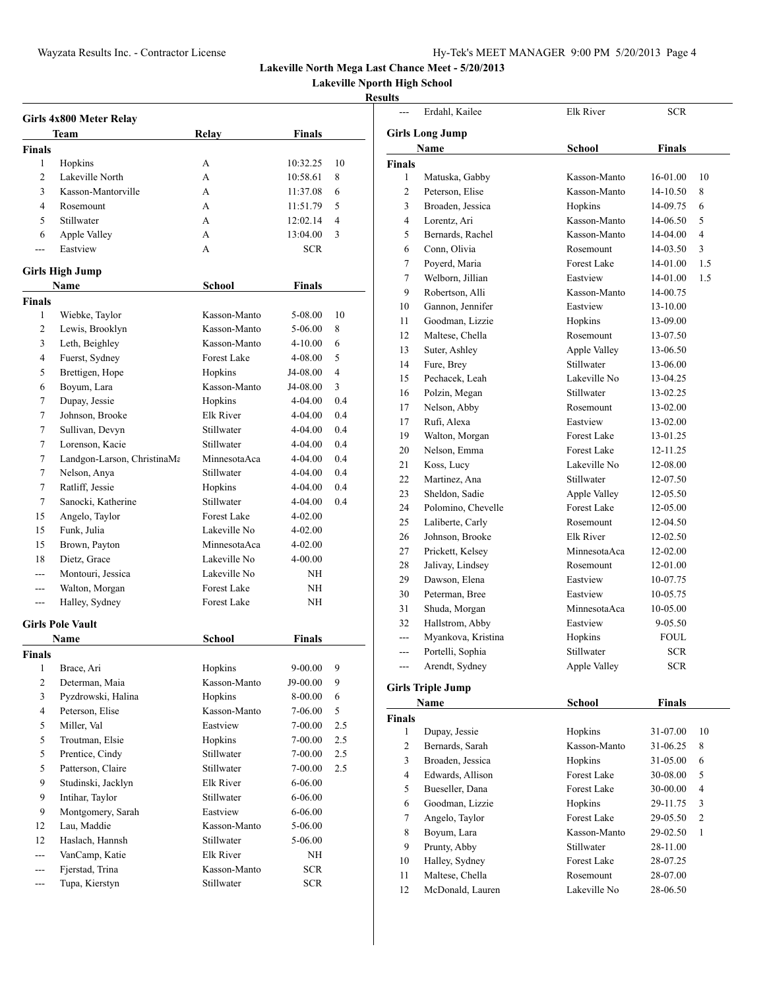**Lakeville Nporth High School**

### **Results**

| Girls 4x800 Meter Relay |                                |                    |             |                          |  |
|-------------------------|--------------------------------|--------------------|-------------|--------------------------|--|
|                         | Team                           | Relay              | Finals      |                          |  |
| <b>Finals</b>           |                                |                    |             |                          |  |
| 1                       | Hopkins                        | А                  | 10:32.25    | 10                       |  |
| 2                       | Lakeville North                | A                  | 10:58.61    | 8                        |  |
| 3                       | Kasson-Mantorville             | A                  | 11:37.08    | 6                        |  |
| 4                       | Rosemount                      | A                  | 11:51.79    | 5                        |  |
| 5                       | Stillwater                     | A                  | 12:02.14    | $\overline{4}$           |  |
| 6                       | Apple Valley                   | A                  | 13:04.00    | 3                        |  |
| $- - -$                 | Eastview                       | A                  | <b>SCR</b>  |                          |  |
|                         |                                |                    |             |                          |  |
|                         | <b>Girls High Jump</b><br>Name | <b>School</b>      | Finals      |                          |  |
| <b>Finals</b>           |                                |                    |             |                          |  |
| 1                       | Wiebke, Taylor                 | Kasson-Manto       | 5-08.00     | 10                       |  |
| 2                       | Lewis, Brooklyn                | Kasson-Manto       | 5-06.00     | 8                        |  |
| 3                       | Leth, Beighley                 | Kasson-Manto       | 4-10.00     | 6                        |  |
| 4                       | Fuerst, Sydney                 | <b>Forest Lake</b> | 4-08.00     | 5                        |  |
| 5                       | Brettigen, Hope                | Hopkins            | J4-08.00    | $\overline{\mathcal{L}}$ |  |
| 6                       | Boyum, Lara                    | Kasson-Manto       | J4-08.00    | 3                        |  |
| 7                       | Dupay, Jessie                  | Hopkins            | 4-04.00     | 0.4                      |  |
| 7                       | Johnson, Brooke                | Elk River          | 4-04.00     | 0.4                      |  |
|                         |                                | Stillwater         | 4-04.00     | 0.4                      |  |
| 7                       | Sullivan, Devyn                |                    |             |                          |  |
| 7                       | Lorenson, Kacie                | Stillwater         | 4-04.00     | 0.4                      |  |
| 7                       | Landgon-Larson, ChristinaMa    | MinnesotaAca       | 4-04.00     | 0.4                      |  |
| 7                       | Nelson, Anya                   | Stillwater         | $4 - 04.00$ | 0.4                      |  |
| 7                       | Ratliff, Jessie                | Hopkins            | 4-04.00     | 0.4                      |  |
| 7                       | Sanocki, Katherine             | Stillwater         | 4-04.00     | 0.4                      |  |
| 15                      | Angelo, Taylor                 | <b>Forest Lake</b> | $4 - 02.00$ |                          |  |
| 15                      | Funk, Julia                    | Lakeville No       | 4-02.00     |                          |  |
| 15                      | Brown, Payton                  | MinnesotaAca       | 4-02.00     |                          |  |
| 18                      | Dietz, Grace                   | Lakeville No       | 4-00.00     |                          |  |
| $- - -$                 | Montouri, Jessica              | Lakeville No       | NΗ          |                          |  |
| ---                     | Walton, Morgan                 | Forest Lake        | NΗ          |                          |  |
| ---                     | Halley, Sydney                 | Forest Lake        | NΗ          |                          |  |
|                         | <b>Girls Pole Vault</b>        |                    |             |                          |  |
|                         | Name                           | <b>School</b>      | Finals      |                          |  |
| Finals                  |                                |                    |             |                          |  |
| 1                       | Brace, Ari                     | Hopkins            | $9 - 00.00$ | 9                        |  |
| 2                       | Determan, Maia                 | Kasson-Manto       | J9-00.00    | 9                        |  |
| 3                       | Pyzdrowski, Halina             | Hopkins            | 8-00.00     | 6                        |  |
| 4                       | Peterson, Elise                | Kasson-Manto       | 7-06.00     | 5                        |  |
| 5                       | Miller, Val                    | Eastview           | 7-00.00     | 2.5                      |  |
| 5                       | Troutman, Elsie                | Hopkins            | 7-00.00     | 2.5                      |  |
| 5                       | Prentice, Cindy                | Stillwater         | 7-00.00     | 2.5                      |  |
| 5                       | Patterson, Claire              | Stillwater         | $7 - 00.00$ | 2.5                      |  |
| 9                       | Studinski, Jacklyn             | Elk River          | $6 - 06.00$ |                          |  |
| 9                       | Intihar, Taylor                | Stillwater         | 6-06.00     |                          |  |
| 9                       | Montgomery, Sarah              | Eastview           | 6-06.00     |                          |  |
| 12                      | Lau, Maddie                    | Kasson-Manto       | 5-06.00     |                          |  |
| 12                      | Haslach, Hannsh                | Stillwater         | 5-06.00     |                          |  |
| $---$                   | VanCamp, Katie                 | Elk River          | NΗ          |                          |  |
| ---                     | Fjerstad, Trina                | Kasson-Manto       | <b>SCR</b>  |                          |  |
| ---                     | Tupa, Kierstyn                 | Stillwater         | <b>SCR</b>  |                          |  |

| $\overline{a}$ | Erdahl, Kailee                    | Elk River          | <b>SCR</b>    |                |
|----------------|-----------------------------------|--------------------|---------------|----------------|
|                |                                   |                    |               |                |
|                | <b>Girls Long Jump</b><br>Name    | <b>School</b>      | <b>Finals</b> |                |
| <b>Finals</b>  |                                   |                    |               |                |
| 1              | Matuska, Gabby                    | Kasson-Manto       | 16-01.00      | 10             |
| 2              | Peterson, Elise                   | Kasson-Manto       | 14-10.50      | 8              |
| 3              | Broaden, Jessica                  | Hopkins            | 14-09.75      | 6              |
| 4              | Lorentz, Ari                      | Kasson-Manto       | 14-06.50      | 5              |
| 5              | Bernards, Rachel                  | Kasson-Manto       | 14-04.00      | 4              |
| 6              | Conn, Olivia                      | Rosemount          | 14-03.50      | 3              |
| 7              | Poyerd, Maria                     | Forest Lake        | 14-01.00      | 1.5            |
| 7              | Welborn, Jillian                  | Eastview           | 14-01.00      | 1.5            |
| 9              | Robertson, Alli                   | Kasson-Manto       | 14-00.75      |                |
| 10             | Gannon, Jennifer                  | Eastview           | 13-10.00      |                |
| 11             | Goodman, Lizzie                   | Hopkins            | 13-09.00      |                |
| 12             | Maltese, Chella                   | Rosemount          | 13-07.50      |                |
| 13             | Suter, Ashley                     | Apple Valley       | 13-06.50      |                |
| 14             | Fure, Brey                        | Stillwater         | 13-06.00      |                |
| 15             | Pechacek, Leah                    | Lakeville No       | 13-04.25      |                |
| 16             | Polzin, Megan                     | Stillwater         | 13-02.25      |                |
| 17             | Nelson, Abby                      | Rosemount          | 13-02.00      |                |
| 17             | Rufi, Alexa                       | Eastview           | 13-02.00      |                |
| 19             | Walton, Morgan                    | <b>Forest Lake</b> | 13-01.25      |                |
| 20             | Nelson, Emma                      | Forest Lake        | 12-11.25      |                |
| 21             | Koss, Lucy                        | Lakeville No       | 12-08.00      |                |
| 22             | Martinez, Ana                     | Stillwater         | 12-07.50      |                |
| 23             | Sheldon, Sadie                    | Apple Valley       | 12-05.50      |                |
| 24             | Polomino, Chevelle                | <b>Forest Lake</b> | 12-05.00      |                |
| 25             | Laliberte, Carly                  | Rosemount          | 12-04.50      |                |
| 26             | Johnson, Brooke                   | Elk River          | 12-02.50      |                |
| 27             | Prickett, Kelsey                  | MinnesotaAca       | 12-02.00      |                |
| 28             | Jalivay, Lindsey                  | Rosemount          | 12-01.00      |                |
| 29             | Dawson, Elena                     | Eastview           | 10-07.75      |                |
| 30             | Peterman, Bree                    | Eastview           | 10-05.75      |                |
| 31             | Shuda, Morgan                     | MinnesotaAca       | 10-05.00      |                |
| 32             | Hallstrom, Abby                   | Eastview           | 9-05.50       |                |
| $---$          | Myankova, Kristina                | Hopkins            | <b>FOUL</b>   |                |
| ---            | Portelli, Sophia                  | Stillwater         | SCR           |                |
|                | Arendt, Sydney                    | Apple Valley       | <b>SCR</b>    |                |
|                |                                   |                    |               |                |
|                | <b>Girls Triple Jump</b>          |                    |               |                |
|                | Name                              | <b>School</b>      | <b>Finals</b> |                |
| <b>Finals</b>  |                                   |                    |               |                |
| 1              | Dupay, Jessie                     | Hopkins            | 31-07.00      | 10             |
| 2              | Bernards, Sarah                   | Kasson-Manto       | 31-06.25      | 8              |
| 3              | Broaden, Jessica                  | Hopkins            | 31-05.00      | 6              |
| 4              | Edwards, Allison                  | Forest Lake        | 30-08.00      | 5              |
| 5              | Bueseller, Dana                   | <b>Forest Lake</b> | 30-00.00      | 4              |
| 6              | Goodman, Lizzie                   | Hopkins            | 29-11.75      | 3              |
| 7              | Angelo, Taylor                    | Forest Lake        | 29-05.50      | $\mathfrak{2}$ |
| 8              | Boyum, Lara                       | Kasson-Manto       | 29-02.50      | 1              |
| 9              | Prunty, Abby                      | Stillwater         | 28-11.00      |                |
| 10             | Halley, Sydney<br>Maltese, Chella | Forest Lake        | 28-07.25      |                |
| 11             |                                   | Rosemount          | 28-07.00      |                |

McDonald, Lauren Lakeville No 28-06.50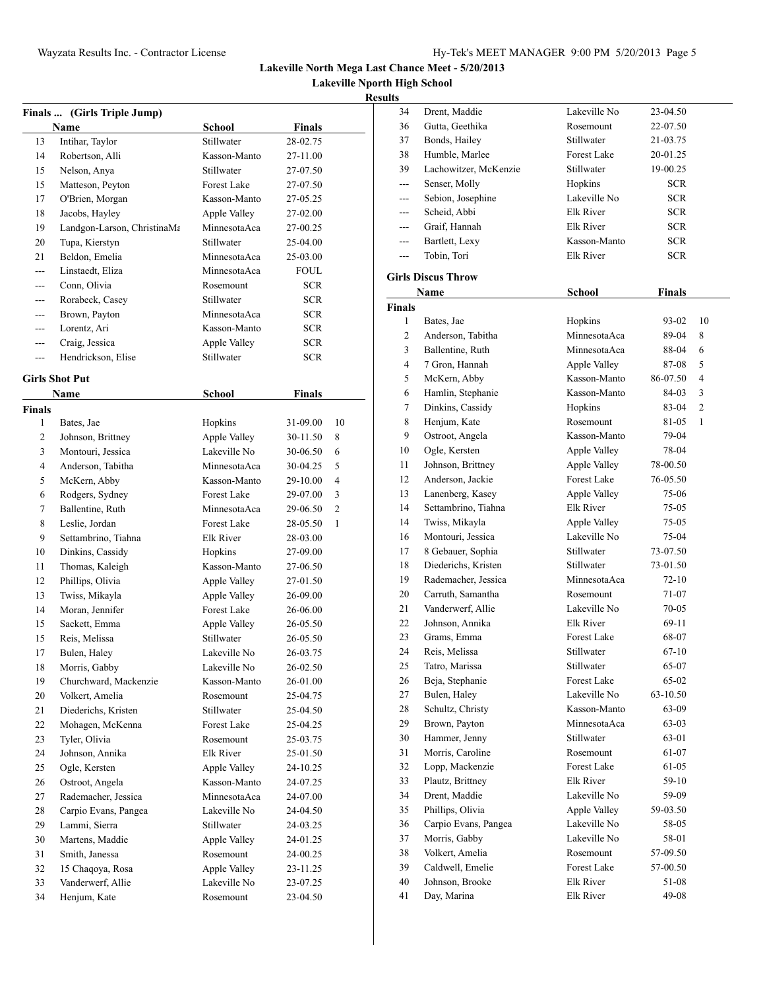**Lakeville Nporth High School**

| School<br>Finals<br>Name<br>Stillwater<br>13<br>Intihar, Taylor<br>28-02.75<br>14<br>Robertson, Alli<br>Kasson-Manto<br>27-11.00<br>Stillwater<br>15<br>Nelson, Anya<br>27-07.50<br>15<br><b>Forest Lake</b><br>Matteson, Peyton<br>27-07.50<br>17<br>O'Brien, Morgan<br>Kasson-Manto<br>27-05.25<br>Jacobs, Hayley<br>18<br>Apple Valley<br>27-02.00<br>MinnesotaAca<br>Landgon-Larson, ChristinaMa<br>19<br>27-00.25<br>20<br>Tupa, Kierstyn<br>Stillwater<br>25-04.00<br>21<br>Beldon, Emelia<br>MinnesotaAca<br>25-03.00<br>Linstaedt, Eliza<br>MinnesotaAca<br>FOUL<br>$---$<br>Conn, Olivia<br><b>SCR</b><br>Rosemount<br>---<br>Rorabeck, Casey<br><b>SCR</b><br>Stillwater<br>Brown, Payton<br>MinnesotaAca<br><b>SCR</b><br>---<br>Lorentz, Ari<br>Kasson-Manto<br><b>SCR</b><br>$---$<br>Craig, Jessica<br>Apple Valley<br><b>SCR</b><br>---<br>Stillwater<br>Hendrickson, Elise<br><b>SCR</b><br>$---$<br><b>Girls Shot Put</b><br><b>School</b><br><b>Finals</b><br>Name<br><b>Finals</b><br>1<br>Bates, Jae<br>Hopkins<br>31-09.00<br>10<br>2<br>Apple Valley<br>8<br>Johnson, Brittney<br>30-11.50<br>3<br>Montouri, Jessica<br>Lakeville No<br>30-06.50<br>6<br>5<br>4<br>Anderson, Tabitha<br>MinnesotaAca<br>30-04.25<br>4<br>5<br>McKern, Abby<br>Kasson-Manto<br>29-10.00<br>Rodgers, Sydney<br><b>Forest Lake</b><br>6<br>29-07.00<br>3<br>$\overline{2}$<br>7<br>Ballentine, Ruth<br>MinnesotaAca<br>29-06.50<br>8<br>Forest Lake<br>Leslie, Jordan<br>28-05.50<br>1<br>9<br>Settambrino, Tiahna<br>Elk River<br>28-03.00<br>10<br>Dinkins, Cassidy<br>Hopkins<br>27-09.00<br>Thomas, Kaleigh<br>11<br>Kasson-Manto<br>27-06.50<br>Phillips, Olivia<br>12<br>Apple Valley<br>27-01.50<br>Twiss, Mikayla<br>Apple Valley<br>13<br>26-09.00<br>Moran, Jennifer<br>Forest Lake<br>14<br>26-06.00<br>Apple Valley<br>15<br>Sackett, Emma<br>26-05.50<br>15<br>Reis, Melissa<br>Stillwater<br>26-05.50<br>Lakeville No<br>17<br>Bulen, Haley<br>26-03.75<br>18<br>Morris, Gabby<br>Lakeville No<br>26-02.50<br>Churchward, Mackenzie<br>19<br>Kasson-Manto<br>26-01.00<br>20<br>Volkert, Amelia<br>25-04.75<br>Rosemount<br>Diederichs, Kristen<br>21<br>Stillwater<br>25-04.50<br>22<br>Mohagen, McKenna<br>Forest Lake<br>25-04.25<br>23<br>Tyler, Olivia<br>Rosemount<br>25-03.75<br>Johnson, Annika<br>24<br>Elk River<br>25-01.50<br>25<br>Ogle, Kersten<br>Apple Valley<br>24-10.25<br>26<br>Ostroot, Angela<br>Kasson-Manto<br>24-07.25<br>Rademacher, Jessica<br>27<br>MinnesotaAca<br>24-07.00<br>Carpio Evans, Pangea<br>Lakeville No<br>28<br>24-04.50<br>29<br>Lammi, Sierra<br>Stillwater<br>24-03.25<br>Martens, Maddie<br>30<br>Apple Valley<br>24-01.25<br>31<br>Smith, Janessa<br>Rosemount<br>24-00.25<br>32<br>15 Chaqoya, Rosa<br>Apple Valley<br>23-11.25<br>Vanderwerf, Allie<br>Lakeville No<br>33<br>23-07.25<br>34<br>Henjum, Kate<br>Rosemount<br>23-04.50 | Finals  (Girls Triple Jump) |  |  |
|------------------------------------------------------------------------------------------------------------------------------------------------------------------------------------------------------------------------------------------------------------------------------------------------------------------------------------------------------------------------------------------------------------------------------------------------------------------------------------------------------------------------------------------------------------------------------------------------------------------------------------------------------------------------------------------------------------------------------------------------------------------------------------------------------------------------------------------------------------------------------------------------------------------------------------------------------------------------------------------------------------------------------------------------------------------------------------------------------------------------------------------------------------------------------------------------------------------------------------------------------------------------------------------------------------------------------------------------------------------------------------------------------------------------------------------------------------------------------------------------------------------------------------------------------------------------------------------------------------------------------------------------------------------------------------------------------------------------------------------------------------------------------------------------------------------------------------------------------------------------------------------------------------------------------------------------------------------------------------------------------------------------------------------------------------------------------------------------------------------------------------------------------------------------------------------------------------------------------------------------------------------------------------------------------------------------------------------------------------------------------------------------------------------------------------------------------------------------------------------------------------------------------------------------------------------------------------------------------------------------------------------------------------------------------------------------------------------------------------------------------------------------------------------------------------------------------------------------------------------------------------------------------|-----------------------------|--|--|
|                                                                                                                                                                                                                                                                                                                                                                                                                                                                                                                                                                                                                                                                                                                                                                                                                                                                                                                                                                                                                                                                                                                                                                                                                                                                                                                                                                                                                                                                                                                                                                                                                                                                                                                                                                                                                                                                                                                                                                                                                                                                                                                                                                                                                                                                                                                                                                                                                                                                                                                                                                                                                                                                                                                                                                                                                                                                                                      |                             |  |  |
|                                                                                                                                                                                                                                                                                                                                                                                                                                                                                                                                                                                                                                                                                                                                                                                                                                                                                                                                                                                                                                                                                                                                                                                                                                                                                                                                                                                                                                                                                                                                                                                                                                                                                                                                                                                                                                                                                                                                                                                                                                                                                                                                                                                                                                                                                                                                                                                                                                                                                                                                                                                                                                                                                                                                                                                                                                                                                                      |                             |  |  |
|                                                                                                                                                                                                                                                                                                                                                                                                                                                                                                                                                                                                                                                                                                                                                                                                                                                                                                                                                                                                                                                                                                                                                                                                                                                                                                                                                                                                                                                                                                                                                                                                                                                                                                                                                                                                                                                                                                                                                                                                                                                                                                                                                                                                                                                                                                                                                                                                                                                                                                                                                                                                                                                                                                                                                                                                                                                                                                      |                             |  |  |
|                                                                                                                                                                                                                                                                                                                                                                                                                                                                                                                                                                                                                                                                                                                                                                                                                                                                                                                                                                                                                                                                                                                                                                                                                                                                                                                                                                                                                                                                                                                                                                                                                                                                                                                                                                                                                                                                                                                                                                                                                                                                                                                                                                                                                                                                                                                                                                                                                                                                                                                                                                                                                                                                                                                                                                                                                                                                                                      |                             |  |  |
|                                                                                                                                                                                                                                                                                                                                                                                                                                                                                                                                                                                                                                                                                                                                                                                                                                                                                                                                                                                                                                                                                                                                                                                                                                                                                                                                                                                                                                                                                                                                                                                                                                                                                                                                                                                                                                                                                                                                                                                                                                                                                                                                                                                                                                                                                                                                                                                                                                                                                                                                                                                                                                                                                                                                                                                                                                                                                                      |                             |  |  |
|                                                                                                                                                                                                                                                                                                                                                                                                                                                                                                                                                                                                                                                                                                                                                                                                                                                                                                                                                                                                                                                                                                                                                                                                                                                                                                                                                                                                                                                                                                                                                                                                                                                                                                                                                                                                                                                                                                                                                                                                                                                                                                                                                                                                                                                                                                                                                                                                                                                                                                                                                                                                                                                                                                                                                                                                                                                                                                      |                             |  |  |
|                                                                                                                                                                                                                                                                                                                                                                                                                                                                                                                                                                                                                                                                                                                                                                                                                                                                                                                                                                                                                                                                                                                                                                                                                                                                                                                                                                                                                                                                                                                                                                                                                                                                                                                                                                                                                                                                                                                                                                                                                                                                                                                                                                                                                                                                                                                                                                                                                                                                                                                                                                                                                                                                                                                                                                                                                                                                                                      |                             |  |  |
|                                                                                                                                                                                                                                                                                                                                                                                                                                                                                                                                                                                                                                                                                                                                                                                                                                                                                                                                                                                                                                                                                                                                                                                                                                                                                                                                                                                                                                                                                                                                                                                                                                                                                                                                                                                                                                                                                                                                                                                                                                                                                                                                                                                                                                                                                                                                                                                                                                                                                                                                                                                                                                                                                                                                                                                                                                                                                                      |                             |  |  |
|                                                                                                                                                                                                                                                                                                                                                                                                                                                                                                                                                                                                                                                                                                                                                                                                                                                                                                                                                                                                                                                                                                                                                                                                                                                                                                                                                                                                                                                                                                                                                                                                                                                                                                                                                                                                                                                                                                                                                                                                                                                                                                                                                                                                                                                                                                                                                                                                                                                                                                                                                                                                                                                                                                                                                                                                                                                                                                      |                             |  |  |
|                                                                                                                                                                                                                                                                                                                                                                                                                                                                                                                                                                                                                                                                                                                                                                                                                                                                                                                                                                                                                                                                                                                                                                                                                                                                                                                                                                                                                                                                                                                                                                                                                                                                                                                                                                                                                                                                                                                                                                                                                                                                                                                                                                                                                                                                                                                                                                                                                                                                                                                                                                                                                                                                                                                                                                                                                                                                                                      |                             |  |  |
|                                                                                                                                                                                                                                                                                                                                                                                                                                                                                                                                                                                                                                                                                                                                                                                                                                                                                                                                                                                                                                                                                                                                                                                                                                                                                                                                                                                                                                                                                                                                                                                                                                                                                                                                                                                                                                                                                                                                                                                                                                                                                                                                                                                                                                                                                                                                                                                                                                                                                                                                                                                                                                                                                                                                                                                                                                                                                                      |                             |  |  |
|                                                                                                                                                                                                                                                                                                                                                                                                                                                                                                                                                                                                                                                                                                                                                                                                                                                                                                                                                                                                                                                                                                                                                                                                                                                                                                                                                                                                                                                                                                                                                                                                                                                                                                                                                                                                                                                                                                                                                                                                                                                                                                                                                                                                                                                                                                                                                                                                                                                                                                                                                                                                                                                                                                                                                                                                                                                                                                      |                             |  |  |
|                                                                                                                                                                                                                                                                                                                                                                                                                                                                                                                                                                                                                                                                                                                                                                                                                                                                                                                                                                                                                                                                                                                                                                                                                                                                                                                                                                                                                                                                                                                                                                                                                                                                                                                                                                                                                                                                                                                                                                                                                                                                                                                                                                                                                                                                                                                                                                                                                                                                                                                                                                                                                                                                                                                                                                                                                                                                                                      |                             |  |  |
|                                                                                                                                                                                                                                                                                                                                                                                                                                                                                                                                                                                                                                                                                                                                                                                                                                                                                                                                                                                                                                                                                                                                                                                                                                                                                                                                                                                                                                                                                                                                                                                                                                                                                                                                                                                                                                                                                                                                                                                                                                                                                                                                                                                                                                                                                                                                                                                                                                                                                                                                                                                                                                                                                                                                                                                                                                                                                                      |                             |  |  |
|                                                                                                                                                                                                                                                                                                                                                                                                                                                                                                                                                                                                                                                                                                                                                                                                                                                                                                                                                                                                                                                                                                                                                                                                                                                                                                                                                                                                                                                                                                                                                                                                                                                                                                                                                                                                                                                                                                                                                                                                                                                                                                                                                                                                                                                                                                                                                                                                                                                                                                                                                                                                                                                                                                                                                                                                                                                                                                      |                             |  |  |
|                                                                                                                                                                                                                                                                                                                                                                                                                                                                                                                                                                                                                                                                                                                                                                                                                                                                                                                                                                                                                                                                                                                                                                                                                                                                                                                                                                                                                                                                                                                                                                                                                                                                                                                                                                                                                                                                                                                                                                                                                                                                                                                                                                                                                                                                                                                                                                                                                                                                                                                                                                                                                                                                                                                                                                                                                                                                                                      |                             |  |  |
|                                                                                                                                                                                                                                                                                                                                                                                                                                                                                                                                                                                                                                                                                                                                                                                                                                                                                                                                                                                                                                                                                                                                                                                                                                                                                                                                                                                                                                                                                                                                                                                                                                                                                                                                                                                                                                                                                                                                                                                                                                                                                                                                                                                                                                                                                                                                                                                                                                                                                                                                                                                                                                                                                                                                                                                                                                                                                                      |                             |  |  |
|                                                                                                                                                                                                                                                                                                                                                                                                                                                                                                                                                                                                                                                                                                                                                                                                                                                                                                                                                                                                                                                                                                                                                                                                                                                                                                                                                                                                                                                                                                                                                                                                                                                                                                                                                                                                                                                                                                                                                                                                                                                                                                                                                                                                                                                                                                                                                                                                                                                                                                                                                                                                                                                                                                                                                                                                                                                                                                      |                             |  |  |
|                                                                                                                                                                                                                                                                                                                                                                                                                                                                                                                                                                                                                                                                                                                                                                                                                                                                                                                                                                                                                                                                                                                                                                                                                                                                                                                                                                                                                                                                                                                                                                                                                                                                                                                                                                                                                                                                                                                                                                                                                                                                                                                                                                                                                                                                                                                                                                                                                                                                                                                                                                                                                                                                                                                                                                                                                                                                                                      |                             |  |  |
|                                                                                                                                                                                                                                                                                                                                                                                                                                                                                                                                                                                                                                                                                                                                                                                                                                                                                                                                                                                                                                                                                                                                                                                                                                                                                                                                                                                                                                                                                                                                                                                                                                                                                                                                                                                                                                                                                                                                                                                                                                                                                                                                                                                                                                                                                                                                                                                                                                                                                                                                                                                                                                                                                                                                                                                                                                                                                                      |                             |  |  |
|                                                                                                                                                                                                                                                                                                                                                                                                                                                                                                                                                                                                                                                                                                                                                                                                                                                                                                                                                                                                                                                                                                                                                                                                                                                                                                                                                                                                                                                                                                                                                                                                                                                                                                                                                                                                                                                                                                                                                                                                                                                                                                                                                                                                                                                                                                                                                                                                                                                                                                                                                                                                                                                                                                                                                                                                                                                                                                      |                             |  |  |
|                                                                                                                                                                                                                                                                                                                                                                                                                                                                                                                                                                                                                                                                                                                                                                                                                                                                                                                                                                                                                                                                                                                                                                                                                                                                                                                                                                                                                                                                                                                                                                                                                                                                                                                                                                                                                                                                                                                                                                                                                                                                                                                                                                                                                                                                                                                                                                                                                                                                                                                                                                                                                                                                                                                                                                                                                                                                                                      |                             |  |  |
|                                                                                                                                                                                                                                                                                                                                                                                                                                                                                                                                                                                                                                                                                                                                                                                                                                                                                                                                                                                                                                                                                                                                                                                                                                                                                                                                                                                                                                                                                                                                                                                                                                                                                                                                                                                                                                                                                                                                                                                                                                                                                                                                                                                                                                                                                                                                                                                                                                                                                                                                                                                                                                                                                                                                                                                                                                                                                                      |                             |  |  |
|                                                                                                                                                                                                                                                                                                                                                                                                                                                                                                                                                                                                                                                                                                                                                                                                                                                                                                                                                                                                                                                                                                                                                                                                                                                                                                                                                                                                                                                                                                                                                                                                                                                                                                                                                                                                                                                                                                                                                                                                                                                                                                                                                                                                                                                                                                                                                                                                                                                                                                                                                                                                                                                                                                                                                                                                                                                                                                      |                             |  |  |
|                                                                                                                                                                                                                                                                                                                                                                                                                                                                                                                                                                                                                                                                                                                                                                                                                                                                                                                                                                                                                                                                                                                                                                                                                                                                                                                                                                                                                                                                                                                                                                                                                                                                                                                                                                                                                                                                                                                                                                                                                                                                                                                                                                                                                                                                                                                                                                                                                                                                                                                                                                                                                                                                                                                                                                                                                                                                                                      |                             |  |  |
|                                                                                                                                                                                                                                                                                                                                                                                                                                                                                                                                                                                                                                                                                                                                                                                                                                                                                                                                                                                                                                                                                                                                                                                                                                                                                                                                                                                                                                                                                                                                                                                                                                                                                                                                                                                                                                                                                                                                                                                                                                                                                                                                                                                                                                                                                                                                                                                                                                                                                                                                                                                                                                                                                                                                                                                                                                                                                                      |                             |  |  |
|                                                                                                                                                                                                                                                                                                                                                                                                                                                                                                                                                                                                                                                                                                                                                                                                                                                                                                                                                                                                                                                                                                                                                                                                                                                                                                                                                                                                                                                                                                                                                                                                                                                                                                                                                                                                                                                                                                                                                                                                                                                                                                                                                                                                                                                                                                                                                                                                                                                                                                                                                                                                                                                                                                                                                                                                                                                                                                      |                             |  |  |
|                                                                                                                                                                                                                                                                                                                                                                                                                                                                                                                                                                                                                                                                                                                                                                                                                                                                                                                                                                                                                                                                                                                                                                                                                                                                                                                                                                                                                                                                                                                                                                                                                                                                                                                                                                                                                                                                                                                                                                                                                                                                                                                                                                                                                                                                                                                                                                                                                                                                                                                                                                                                                                                                                                                                                                                                                                                                                                      |                             |  |  |
|                                                                                                                                                                                                                                                                                                                                                                                                                                                                                                                                                                                                                                                                                                                                                                                                                                                                                                                                                                                                                                                                                                                                                                                                                                                                                                                                                                                                                                                                                                                                                                                                                                                                                                                                                                                                                                                                                                                                                                                                                                                                                                                                                                                                                                                                                                                                                                                                                                                                                                                                                                                                                                                                                                                                                                                                                                                                                                      |                             |  |  |
|                                                                                                                                                                                                                                                                                                                                                                                                                                                                                                                                                                                                                                                                                                                                                                                                                                                                                                                                                                                                                                                                                                                                                                                                                                                                                                                                                                                                                                                                                                                                                                                                                                                                                                                                                                                                                                                                                                                                                                                                                                                                                                                                                                                                                                                                                                                                                                                                                                                                                                                                                                                                                                                                                                                                                                                                                                                                                                      |                             |  |  |
|                                                                                                                                                                                                                                                                                                                                                                                                                                                                                                                                                                                                                                                                                                                                                                                                                                                                                                                                                                                                                                                                                                                                                                                                                                                                                                                                                                                                                                                                                                                                                                                                                                                                                                                                                                                                                                                                                                                                                                                                                                                                                                                                                                                                                                                                                                                                                                                                                                                                                                                                                                                                                                                                                                                                                                                                                                                                                                      |                             |  |  |
|                                                                                                                                                                                                                                                                                                                                                                                                                                                                                                                                                                                                                                                                                                                                                                                                                                                                                                                                                                                                                                                                                                                                                                                                                                                                                                                                                                                                                                                                                                                                                                                                                                                                                                                                                                                                                                                                                                                                                                                                                                                                                                                                                                                                                                                                                                                                                                                                                                                                                                                                                                                                                                                                                                                                                                                                                                                                                                      |                             |  |  |
|                                                                                                                                                                                                                                                                                                                                                                                                                                                                                                                                                                                                                                                                                                                                                                                                                                                                                                                                                                                                                                                                                                                                                                                                                                                                                                                                                                                                                                                                                                                                                                                                                                                                                                                                                                                                                                                                                                                                                                                                                                                                                                                                                                                                                                                                                                                                                                                                                                                                                                                                                                                                                                                                                                                                                                                                                                                                                                      |                             |  |  |
|                                                                                                                                                                                                                                                                                                                                                                                                                                                                                                                                                                                                                                                                                                                                                                                                                                                                                                                                                                                                                                                                                                                                                                                                                                                                                                                                                                                                                                                                                                                                                                                                                                                                                                                                                                                                                                                                                                                                                                                                                                                                                                                                                                                                                                                                                                                                                                                                                                                                                                                                                                                                                                                                                                                                                                                                                                                                                                      |                             |  |  |
|                                                                                                                                                                                                                                                                                                                                                                                                                                                                                                                                                                                                                                                                                                                                                                                                                                                                                                                                                                                                                                                                                                                                                                                                                                                                                                                                                                                                                                                                                                                                                                                                                                                                                                                                                                                                                                                                                                                                                                                                                                                                                                                                                                                                                                                                                                                                                                                                                                                                                                                                                                                                                                                                                                                                                                                                                                                                                                      |                             |  |  |
|                                                                                                                                                                                                                                                                                                                                                                                                                                                                                                                                                                                                                                                                                                                                                                                                                                                                                                                                                                                                                                                                                                                                                                                                                                                                                                                                                                                                                                                                                                                                                                                                                                                                                                                                                                                                                                                                                                                                                                                                                                                                                                                                                                                                                                                                                                                                                                                                                                                                                                                                                                                                                                                                                                                                                                                                                                                                                                      |                             |  |  |
|                                                                                                                                                                                                                                                                                                                                                                                                                                                                                                                                                                                                                                                                                                                                                                                                                                                                                                                                                                                                                                                                                                                                                                                                                                                                                                                                                                                                                                                                                                                                                                                                                                                                                                                                                                                                                                                                                                                                                                                                                                                                                                                                                                                                                                                                                                                                                                                                                                                                                                                                                                                                                                                                                                                                                                                                                                                                                                      |                             |  |  |
|                                                                                                                                                                                                                                                                                                                                                                                                                                                                                                                                                                                                                                                                                                                                                                                                                                                                                                                                                                                                                                                                                                                                                                                                                                                                                                                                                                                                                                                                                                                                                                                                                                                                                                                                                                                                                                                                                                                                                                                                                                                                                                                                                                                                                                                                                                                                                                                                                                                                                                                                                                                                                                                                                                                                                                                                                                                                                                      |                             |  |  |
|                                                                                                                                                                                                                                                                                                                                                                                                                                                                                                                                                                                                                                                                                                                                                                                                                                                                                                                                                                                                                                                                                                                                                                                                                                                                                                                                                                                                                                                                                                                                                                                                                                                                                                                                                                                                                                                                                                                                                                                                                                                                                                                                                                                                                                                                                                                                                                                                                                                                                                                                                                                                                                                                                                                                                                                                                                                                                                      |                             |  |  |
|                                                                                                                                                                                                                                                                                                                                                                                                                                                                                                                                                                                                                                                                                                                                                                                                                                                                                                                                                                                                                                                                                                                                                                                                                                                                                                                                                                                                                                                                                                                                                                                                                                                                                                                                                                                                                                                                                                                                                                                                                                                                                                                                                                                                                                                                                                                                                                                                                                                                                                                                                                                                                                                                                                                                                                                                                                                                                                      |                             |  |  |
|                                                                                                                                                                                                                                                                                                                                                                                                                                                                                                                                                                                                                                                                                                                                                                                                                                                                                                                                                                                                                                                                                                                                                                                                                                                                                                                                                                                                                                                                                                                                                                                                                                                                                                                                                                                                                                                                                                                                                                                                                                                                                                                                                                                                                                                                                                                                                                                                                                                                                                                                                                                                                                                                                                                                                                                                                                                                                                      |                             |  |  |
|                                                                                                                                                                                                                                                                                                                                                                                                                                                                                                                                                                                                                                                                                                                                                                                                                                                                                                                                                                                                                                                                                                                                                                                                                                                                                                                                                                                                                                                                                                                                                                                                                                                                                                                                                                                                                                                                                                                                                                                                                                                                                                                                                                                                                                                                                                                                                                                                                                                                                                                                                                                                                                                                                                                                                                                                                                                                                                      |                             |  |  |
|                                                                                                                                                                                                                                                                                                                                                                                                                                                                                                                                                                                                                                                                                                                                                                                                                                                                                                                                                                                                                                                                                                                                                                                                                                                                                                                                                                                                                                                                                                                                                                                                                                                                                                                                                                                                                                                                                                                                                                                                                                                                                                                                                                                                                                                                                                                                                                                                                                                                                                                                                                                                                                                                                                                                                                                                                                                                                                      |                             |  |  |
|                                                                                                                                                                                                                                                                                                                                                                                                                                                                                                                                                                                                                                                                                                                                                                                                                                                                                                                                                                                                                                                                                                                                                                                                                                                                                                                                                                                                                                                                                                                                                                                                                                                                                                                                                                                                                                                                                                                                                                                                                                                                                                                                                                                                                                                                                                                                                                                                                                                                                                                                                                                                                                                                                                                                                                                                                                                                                                      |                             |  |  |
|                                                                                                                                                                                                                                                                                                                                                                                                                                                                                                                                                                                                                                                                                                                                                                                                                                                                                                                                                                                                                                                                                                                                                                                                                                                                                                                                                                                                                                                                                                                                                                                                                                                                                                                                                                                                                                                                                                                                                                                                                                                                                                                                                                                                                                                                                                                                                                                                                                                                                                                                                                                                                                                                                                                                                                                                                                                                                                      |                             |  |  |
|                                                                                                                                                                                                                                                                                                                                                                                                                                                                                                                                                                                                                                                                                                                                                                                                                                                                                                                                                                                                                                                                                                                                                                                                                                                                                                                                                                                                                                                                                                                                                                                                                                                                                                                                                                                                                                                                                                                                                                                                                                                                                                                                                                                                                                                                                                                                                                                                                                                                                                                                                                                                                                                                                                                                                                                                                                                                                                      |                             |  |  |
|                                                                                                                                                                                                                                                                                                                                                                                                                                                                                                                                                                                                                                                                                                                                                                                                                                                                                                                                                                                                                                                                                                                                                                                                                                                                                                                                                                                                                                                                                                                                                                                                                                                                                                                                                                                                                                                                                                                                                                                                                                                                                                                                                                                                                                                                                                                                                                                                                                                                                                                                                                                                                                                                                                                                                                                                                                                                                                      |                             |  |  |
|                                                                                                                                                                                                                                                                                                                                                                                                                                                                                                                                                                                                                                                                                                                                                                                                                                                                                                                                                                                                                                                                                                                                                                                                                                                                                                                                                                                                                                                                                                                                                                                                                                                                                                                                                                                                                                                                                                                                                                                                                                                                                                                                                                                                                                                                                                                                                                                                                                                                                                                                                                                                                                                                                                                                                                                                                                                                                                      |                             |  |  |
|                                                                                                                                                                                                                                                                                                                                                                                                                                                                                                                                                                                                                                                                                                                                                                                                                                                                                                                                                                                                                                                                                                                                                                                                                                                                                                                                                                                                                                                                                                                                                                                                                                                                                                                                                                                                                                                                                                                                                                                                                                                                                                                                                                                                                                                                                                                                                                                                                                                                                                                                                                                                                                                                                                                                                                                                                                                                                                      |                             |  |  |
|                                                                                                                                                                                                                                                                                                                                                                                                                                                                                                                                                                                                                                                                                                                                                                                                                                                                                                                                                                                                                                                                                                                                                                                                                                                                                                                                                                                                                                                                                                                                                                                                                                                                                                                                                                                                                                                                                                                                                                                                                                                                                                                                                                                                                                                                                                                                                                                                                                                                                                                                                                                                                                                                                                                                                                                                                                                                                                      |                             |  |  |
|                                                                                                                                                                                                                                                                                                                                                                                                                                                                                                                                                                                                                                                                                                                                                                                                                                                                                                                                                                                                                                                                                                                                                                                                                                                                                                                                                                                                                                                                                                                                                                                                                                                                                                                                                                                                                                                                                                                                                                                                                                                                                                                                                                                                                                                                                                                                                                                                                                                                                                                                                                                                                                                                                                                                                                                                                                                                                                      |                             |  |  |
|                                                                                                                                                                                                                                                                                                                                                                                                                                                                                                                                                                                                                                                                                                                                                                                                                                                                                                                                                                                                                                                                                                                                                                                                                                                                                                                                                                                                                                                                                                                                                                                                                                                                                                                                                                                                                                                                                                                                                                                                                                                                                                                                                                                                                                                                                                                                                                                                                                                                                                                                                                                                                                                                                                                                                                                                                                                                                                      |                             |  |  |
|                                                                                                                                                                                                                                                                                                                                                                                                                                                                                                                                                                                                                                                                                                                                                                                                                                                                                                                                                                                                                                                                                                                                                                                                                                                                                                                                                                                                                                                                                                                                                                                                                                                                                                                                                                                                                                                                                                                                                                                                                                                                                                                                                                                                                                                                                                                                                                                                                                                                                                                                                                                                                                                                                                                                                                                                                                                                                                      |                             |  |  |
|                                                                                                                                                                                                                                                                                                                                                                                                                                                                                                                                                                                                                                                                                                                                                                                                                                                                                                                                                                                                                                                                                                                                                                                                                                                                                                                                                                                                                                                                                                                                                                                                                                                                                                                                                                                                                                                                                                                                                                                                                                                                                                                                                                                                                                                                                                                                                                                                                                                                                                                                                                                                                                                                                                                                                                                                                                                                                                      |                             |  |  |
|                                                                                                                                                                                                                                                                                                                                                                                                                                                                                                                                                                                                                                                                                                                                                                                                                                                                                                                                                                                                                                                                                                                                                                                                                                                                                                                                                                                                                                                                                                                                                                                                                                                                                                                                                                                                                                                                                                                                                                                                                                                                                                                                                                                                                                                                                                                                                                                                                                                                                                                                                                                                                                                                                                                                                                                                                                                                                                      |                             |  |  |

| uns            |                           |                    |               |    |
|----------------|---------------------------|--------------------|---------------|----|
| 34             | Drent, Maddie             | Lakeville No       | 23-04.50      |    |
| 36             | Gutta, Geethika           | Rosemount          | 22-07.50      |    |
| 37             | Bonds, Hailey             | Stillwater         | 21-03.75      |    |
| 38             | Humble, Marlee            | <b>Forest Lake</b> | 20-01.25      |    |
| 39             | Lachowitzer, McKenzie     | Stillwater         | 19-00.25      |    |
| ---            | Senser, Molly             | Hopkins            | SCR           |    |
| ---            | Sebion, Josephine         | Lakeville No       | <b>SCR</b>    |    |
|                | Scheid, Abbi              | Elk River          | SCR           |    |
| ---            | Graif, Hannah             | Elk River          | SCR           |    |
| ---            | Bartlett, Lexy            | Kasson-Manto       | <b>SCR</b>    |    |
| ---            | Tobin, Tori               | Elk River          | SCR           |    |
|                |                           |                    |               |    |
|                | <b>Girls Discus Throw</b> |                    |               |    |
|                | Name                      | <b>School</b>      | <b>Finals</b> |    |
| <b>Finals</b>  |                           |                    |               |    |
| 1              | Bates, Jae                | Hopkins            | 93-02         | 10 |
| 2              | Anderson, Tabitha         | MinnesotaAca       | 89-04         | 8  |
| 3              | Ballentine, Ruth          | MinnesotaAca       | 88-04         | 6  |
| $\overline{4}$ | 7 Gron, Hannah            | Apple Valley       | 87-08         | 5  |
| 5              | McKern, Abby              | Kasson-Manto       | 86-07.50      | 4  |
| 6              | Hamlin, Stephanie         | Kasson-Manto       | 84-03         | 3  |
| 7              | Dinkins, Cassidy          | Hopkins            | 83-04         | 2  |
| 8              | Henjum, Kate              | Rosemount          | 81-05         | 1  |
| 9              | Ostroot, Angela           | Kasson-Manto       | 79-04         |    |
| 10             | Ogle, Kersten             | Apple Valley       | 78-04         |    |
| 11             | Johnson, Brittney         | Apple Valley       | 78-00.50      |    |
| 12             | Anderson, Jackie          | Forest Lake        | 76-05.50      |    |
| 13             | Lanenberg, Kasey          | Apple Valley       | 75-06         |    |
| 14             | Settambrino, Tiahna       | Elk River          | 75-05         |    |
| 14             | Twiss, Mikayla            | Apple Valley       | 75-05         |    |
| 16             | Montouri, Jessica         | Lakeville No       | 75-04         |    |
| 17             | 8 Gebauer, Sophia         | Stillwater         | 73-07.50      |    |
| 18             | Diederichs, Kristen       | Stillwater         | 73-01.50      |    |
| 19             | Rademacher, Jessica       | MinnesotaAca       | 72-10         |    |
| 20             | Carruth, Samantha         | Rosemount          | 71-07         |    |
| 21             | Vanderwerf, Allie         | Lakeville No       | 70-05         |    |
| 22             | Johnson, Annika           | Elk River          | 69-11         |    |
| 23             | Grams, Emma               | <b>Forest Lake</b> | 68-07         |    |
| 24             | Reis, Melissa             | Stillwater         | $67-10$       |    |
| 25             | Tatro, Marissa            | Stillwater         | 65-07         |    |
| 26             | Beja, Stephanie           | Forest Lake        | 65-02         |    |
| 27             | Bulen, Haley              | Lakeville No       | 63-10.50      |    |
| 28             | Schultz, Christy          | Kasson-Manto       | 63-09         |    |
| 29             | Brown, Payton             | MinnesotaAca       | 63-03         |    |
| 30             | Hammer, Jenny             | Stillwater         | 63-01         |    |
| 31             | Morris, Caroline          | Rosemount          | 61-07         |    |
| 32             | Lopp, Mackenzie           | Forest Lake        | 61-05         |    |
| 33             | Plautz, Brittney          | Elk River          | 59-10         |    |
| 34             | Drent, Maddie             | Lakeville No       | 59-09         |    |
| 35             | Phillips, Olivia          | Apple Valley       | 59-03.50      |    |
| 36             | Carpio Evans, Pangea      | Lakeville No       | 58-05         |    |
| 37             | Morris, Gabby             | Lakeville No       | 58-01         |    |
| 38             | Volkert, Amelia           | Rosemount          | 57-09.50      |    |
| 39             | Caldwell, Emelie          | Forest Lake        | 57-00.50      |    |
| 40             | Johnson, Brooke           | Elk River          | 51-08         |    |
| 41             | Day, Marina               | Elk River          | 49-08         |    |
|                |                           |                    |               |    |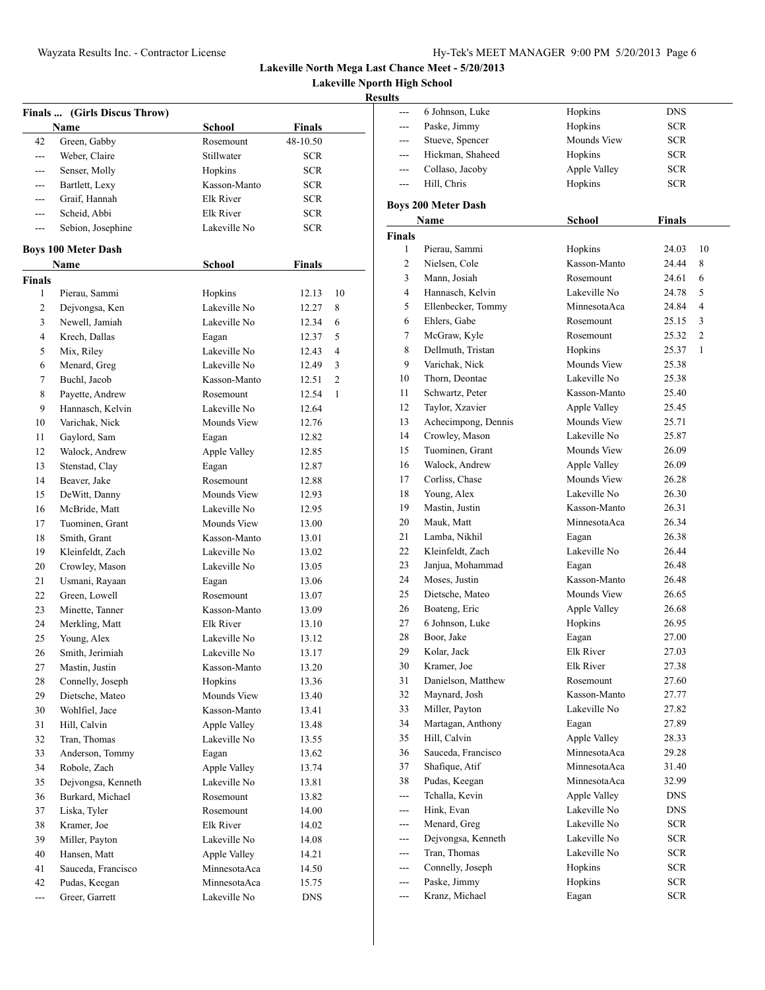**Lakeville Nporth High School**

|                | Finals  (Girls Discus Throw)<br>Name | <b>School</b>    | <b>Finals</b> |    |
|----------------|--------------------------------------|------------------|---------------|----|
| 42             | Green, Gabby                         | Rosemount        | 48-10.50      |    |
| $\overline{a}$ | Weber, Claire                        | Stillwater       | <b>SCR</b>    |    |
| $---$          | Senser, Molly                        | Hopkins          | <b>SCR</b>    |    |
| ---            | Bartlett, Lexy                       | Kasson-Manto     | <b>SCR</b>    |    |
| $---$          | Graif, Hannah                        | Elk River        | <b>SCR</b>    |    |
|                | Scheid, Abbi                         | Elk River        |               |    |
| ---            |                                      | Lakeville No     | <b>SCR</b>    |    |
| ---            | Sebion, Josephine                    |                  | <b>SCR</b>    |    |
|                | <b>Boys 100 Meter Dash</b>           |                  |               |    |
|                | Name                                 | <b>School</b>    | <b>Finals</b> |    |
| <b>Finals</b>  |                                      |                  |               |    |
| 1              | Pierau, Sammi                        | Hopkins          | 12.13         | 10 |
| 2              | Dejvongsa, Ken                       | Lakeville No     | 12.27         | 8  |
| 3              | Newell, Jamiah                       | Lakeville No     | 12.34         | 6  |
| 4              | Krech, Dallas                        | Eagan            | 12.37         | 5  |
| 5              | Mix, Riley                           | Lakeville No     | 12.43         | 4  |
| 6              | Menard, Greg                         | Lakeville No     | 12.49         | 3  |
| 7              | Buchl, Jacob                         | Kasson-Manto     | 12.51         | 2  |
| 8              | Payette, Andrew                      | Rosemount        | 12.54         | 1  |
| 9              | Hannasch, Kelvin                     | Lakeville No     | 12.64         |    |
| 10             | Varichak, Nick                       | Mounds View      | 12.76         |    |
| 11             | Gaylord, Sam                         | Eagan            | 12.82         |    |
| 12             | Walock, Andrew                       | Apple Valley     | 12.85         |    |
| 13             | Stenstad, Clay                       | Eagan            | 12.87         |    |
| 14             | Beaver, Jake                         | Rosemount        | 12.88         |    |
| 15             | DeWitt, Danny                        | Mounds View      | 12.93         |    |
| 16             |                                      | Lakeville No     |               |    |
|                | McBride, Matt                        |                  | 12.95         |    |
| 17             | Tuominen, Grant                      | Mounds View      | 13.00         |    |
| 18             | Smith, Grant                         | Kasson-Manto     | 13.01         |    |
| 19             | Kleinfeldt, Zach                     | Lakeville No     | 13.02         |    |
| 20             | Crowley, Mason                       | Lakeville No     | 13.05         |    |
| 21             | Usmani, Rayaan                       | Eagan            | 13.06         |    |
| 22             | Green, Lowell                        | Rosemount        | 13.07         |    |
| 23             | Minette, Tanner                      | Kasson-Manto     | 13.09         |    |
| 24             | Merkling, Matt                       | <b>Elk River</b> | 13.10         |    |
| 25             | Young, Alex                          | Lakeville No     | 13.12         |    |
| 26             | Smith, Jerimiah                      | Lakeville No     | 13.17         |    |
| 27             | Mastin, Justin                       | Kasson-Manto     | 13.20         |    |
| 28             | Connelly, Joseph                     | Hopkins          | 13.36         |    |
| 29             | Dietsche, Mateo                      | Mounds View      | 13.40         |    |
| 30             | Wohlfiel, Jace                       | Kasson-Manto     | 13.41         |    |
| 31             | Hill, Calvin                         | Apple Valley     | 13.48         |    |
| 32             | Tran, Thomas                         | Lakeville No     | 13.55         |    |
| 33             | Anderson, Tommy                      | Eagan            | 13.62         |    |
| 34             | Robole, Zach                         | Apple Valley     | 13.74         |    |
| 35             | Dejvongsa, Kenneth                   | Lakeville No     | 13.81         |    |
| 36             | Burkard, Michael                     | Rosemount        | 13.82         |    |
| 37             | Liska, Tyler                         | Rosemount        | 14.00         |    |
| 38             | Kramer, Joe                          | Elk River        | 14.02         |    |
| 39             | Miller, Payton                       | Lakeville No     | 14.08         |    |
| 40             |                                      |                  |               |    |
|                | Hansen, Matt                         | Apple Valley     | 14.21         |    |
| 41             | Sauceda, Francisco                   | MinnesotaAca     | 14.50         |    |
| 42             | Pudas, Keegan                        | MinnesotaAca     | 15.75         |    |
| ---            | Greer, Garrett                       | Lakeville No     | <b>DNS</b>    |    |
|                |                                      |                  |               |    |

| ults          |                            |                  |               |                |
|---------------|----------------------------|------------------|---------------|----------------|
|               | 6 Johnson, Luke            | Hopkins          | <b>DNS</b>    |                |
| $---$         | Paske, Jimmy               | Hopkins          | SCR           |                |
| ---           | Stueve, Spencer            | Mounds View      | <b>SCR</b>    |                |
|               | Hickman, Shaheed           | Hopkins          | <b>SCR</b>    |                |
| ---           | Collaso, Jacoby            | Apple Valley     | SCR.          |                |
| $---$         | Hill, Chris                | Hopkins          | SCR.          |                |
|               | <b>Boys 200 Meter Dash</b> |                  |               |                |
|               | Name                       | <b>School</b>    | <b>Finals</b> |                |
| <b>Finals</b> |                            |                  |               |                |
| 1             | Pierau, Sammi              | Hopkins          | 24.03         | 10             |
| 2             | Nielsen, Cole              | Kasson-Manto     | 24.44         | 8              |
| 3             | Mann, Josiah               | Rosemount        | 24.61         | 6              |
| 4             | Hannasch, Kelvin           | Lakeville No     | 24.78         | 5              |
| 5             | Ellenbecker, Tommy         | MinnesotaAca     | 24.84         | 4              |
| 6             | Ehlers, Gabe               | Rosemount        | 25.15         | 3              |
| 7             | McGraw, Kyle               | Rosemount        | 25.32         | $\overline{2}$ |
| 8             | Dellmuth, Tristan          | Hopkins          | 25.37         | 1              |
| 9             | Varichak, Nick             | Mounds View      | 25.38         |                |
| 10            | Thorn, Deontae             | Lakeville No     | 25.38         |                |
| 11            | Schwartz, Peter            | Kasson-Manto     | 25.40         |                |
| 12            | Taylor, Xzavier            | Apple Valley     | 25.45         |                |
| 13            | Achecimpong, Dennis        | Mounds View      | 25.71         |                |
| 14            | Crowley, Mason             | Lakeville No     | 25.87         |                |
| 15            | Tuominen, Grant            | Mounds View      | 26.09         |                |
| 16            | Walock, Andrew             | Apple Valley     | 26.09         |                |
| 17            | Corliss, Chase             | Mounds View      | 26.28         |                |
| 18            | Young, Alex                | Lakeville No     | 26.30         |                |
| 19            | Mastin, Justin             | Kasson-Manto     | 26.31         |                |
| 20            | Mauk, Matt                 | MinnesotaAca     | 26.34         |                |
| 21            | Lamba, Nikhil              | Eagan            | 26.38         |                |
| 22            | Kleinfeldt, Zach           | Lakeville No     | 26.44         |                |
| 23            | Janjua, Mohammad           | Eagan            | 26.48         |                |
| 24            | Moses, Justin              | Kasson-Manto     | 26.48         |                |
| 25            | Dietsche, Mateo            | Mounds View      | 26.65         |                |
| 26            | Boateng, Eric              | Apple Valley     | 26.68         |                |
| 27            | 6 Johnson, Luke            | Hopkins          | 26.95         |                |
| 28            | Boor, Jake                 | Eagan            | 27.00         |                |
| 29            | Kolar, Jack                | <b>Elk River</b> | 27.03         |                |
| 30            | Kramer, Joe                | Elk River        | 27.38         |                |
| 31            | Danielson, Matthew         | Rosemount        | 27.60         |                |
| 32            | Mavnard. Josh              | Kasson-Manto     | 27.77         |                |
| 33            | Miller, Payton             | Lakeville No     | 27.82         |                |
| 34            | Martagan, Anthony          | Eagan            | 27.89         |                |
| 35            | Hill. Calvin               | Apple Valley     | 28.33         |                |
| 36            | Sauceda, Francisco         | MinnesotaAca     | 29.28         |                |
| 37            | Shafique, Atif             | MinnesotaAca     | 31.40         |                |
| 38            | Pudas, Keegan              | MinnesotaAca     | 32.99         |                |
| ---           | Tchalla, Kevin             | Apple Valley     | DNS           |                |
| $---$         | Hink, Evan                 | Lakeville No     | DNS           |                |
| ---           | Menard, Greg               | Lakeville No     | SCR           |                |
| ---           | Dejvongsa, Kenneth         | Lakeville No     | SCR           |                |
| ---           | Tran, Thomas               | Lakeville No     | <b>SCR</b>    |                |
| ---           | Connelly, Joseph           | Hopkins          | <b>SCR</b>    |                |
| ---           | Paske, Jimmy               | Hopkins          | SCR.          |                |
| ---           | Kranz, Michael             | Eagan            | <b>SCR</b>    |                |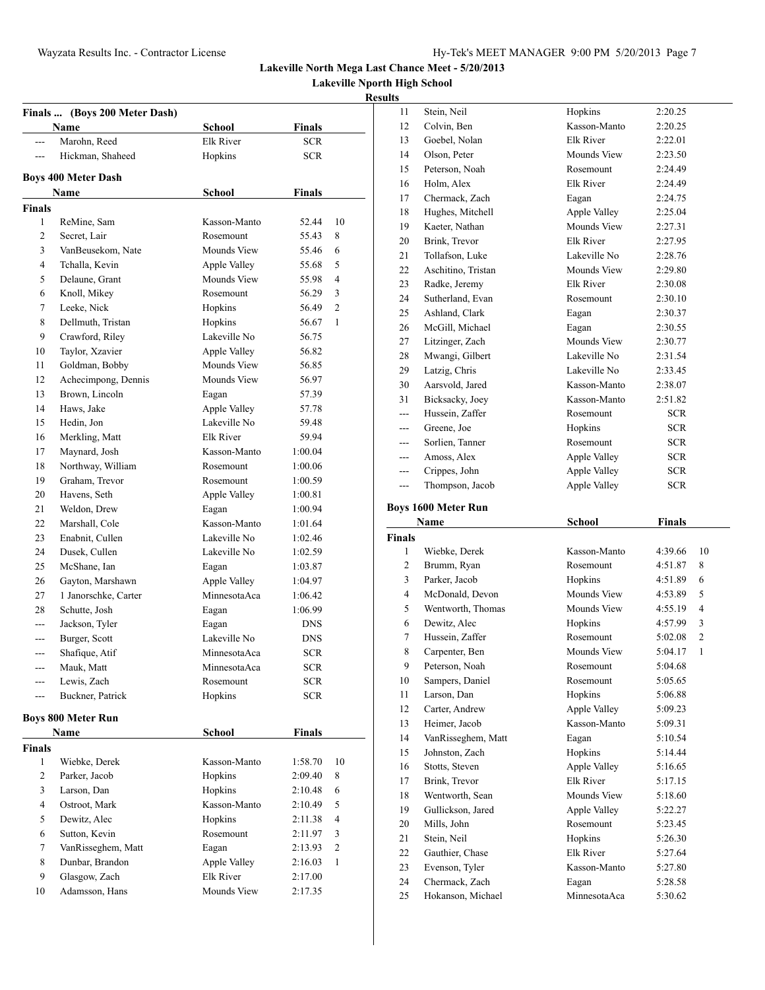**Lakeville Nporth High School**

|                | Finals  (Boys 200 Meter Dash) |                           |                          |                |
|----------------|-------------------------------|---------------------------|--------------------------|----------------|
|                | Name                          | School                    | Finals                   |                |
| ---            | Marohn, Reed                  | Elk River                 | <b>SCR</b>               |                |
| $---$          | Hickman, Shaheed              | Hopkins                   | <b>SCR</b>               |                |
|                | <b>Boys 400 Meter Dash</b>    |                           |                          |                |
|                | Name                          | <b>School</b>             | <b>Finals</b>            |                |
| <b>Finals</b>  |                               |                           |                          |                |
| 1              | ReMine, Sam                   | Kasson-Manto              | 52.44                    | 10             |
| 2              | Secret. Lair                  | Rosemount                 | 55.43                    | 8              |
| 3              | VanBeusekom, Nate             | Mounds View               | 55.46                    | 6              |
| $\overline{4}$ | Tchalla, Kevin                | Apple Valley              | 55.68                    | 5              |
| 5              | Delaune, Grant                | Mounds View               | 55.98                    | $\overline{4}$ |
| 6              | Knoll, Mikey                  | Rosemount                 | 56.29                    | 3              |
| 7              | Leeke, Nick                   | Hopkins                   | 56.49                    | $\overline{2}$ |
| 8              | Dellmuth, Tristan             | Hopkins                   | 56.67                    | 1              |
| 9              | Crawford, Riley               | Lakeville No              | 56.75                    |                |
| 10             | Taylor, Xzavier               | Apple Valley              | 56.82                    |                |
| 11             | Goldman, Bobby                | Mounds View               | 56.85                    |                |
| 12             | Achecimpong, Dennis           | Mounds View               | 56.97                    |                |
| 13             | Brown, Lincoln                | Eagan                     | 57.39                    |                |
| 14             | Haws, Jake                    | Apple Valley              | 57.78                    |                |
| 15             | Hedin, Jon                    | Lakeville No              | 59.48                    |                |
| 16             | Merkling, Matt                | Elk River                 | 59.94                    |                |
| 17             | Maynard, Josh                 | Kasson-Manto              | 1:00.04                  |                |
| 18             | Northway, William             | Rosemount                 | 1:00.06                  |                |
| 19             | Graham, Trevor                | Rosemount                 | 1:00.59                  |                |
| 20             | Havens, Seth                  | Apple Valley              | 1:00.81                  |                |
| 21             | Weldon, Drew                  | Eagan                     | 1:00.94                  |                |
| 22             | Marshall, Cole                | Kasson-Manto              | 1:01.64                  |                |
| 23             | Enabnit, Cullen               | Lakeville No              | 1:02.46                  |                |
| 24             | Dusek, Cullen                 | Lakeville No              | 1:02.59                  |                |
| 25             | McShane, Ian                  | Eagan                     | 1:03.87                  |                |
| 26             | Gayton, Marshawn              | Apple Valley              | 1:04.97                  |                |
| 27             | 1 Janorschke, Carter          | MinnesotaAca              | 1:06.42                  |                |
| 28             | Schutte, Josh                 | Eagan                     | 1:06.99                  |                |
| ---            | Jackson, Tyler                | Eagan                     | <b>DNS</b>               |                |
| $---$          | Burger, Scott                 | Lakeville No              | DNS                      |                |
| ---            | Shafique, Atif                | MinnesotaAca              | <b>SCR</b>               |                |
|                |                               |                           |                          |                |
|                | Mauk, Matt<br>Lewis, Zach     | MinnesotaAca<br>Rosemount | <b>SCR</b><br><b>SCR</b> |                |
| ---            | Buckner, Patrick              | Hopkins                   | <b>SCR</b>               |                |
|                |                               |                           |                          |                |
|                | <b>Boys 800 Meter Run</b>     |                           |                          |                |
|                | Name                          | School                    | Finals                   |                |
| <b>Finals</b>  |                               |                           |                          |                |
| 1              | Wiebke, Derek                 | Kasson-Manto              | 1:58.70                  | 10             |
| 2              | Parker, Jacob                 | Hopkins                   | 2:09.40                  | 8              |
| 3              | Larson, Dan                   | Hopkins                   | 2:10.48                  | 6              |
| 4              | Ostroot, Mark                 | Kasson-Manto              | 2:10.49                  | 5              |
| 5              | Dewitz, Alec                  | Hopkins                   | 2:11.38                  | $\overline{4}$ |
| 6              | Sutton, Kevin                 | Rosemount                 | 2:11.97                  | 3              |
| 7              | VanRisseghem, Matt            | Eagan                     | 2:13.93                  | $\overline{c}$ |
| 8              | Dunbar, Brandon               | Apple Valley              | 2:16.03                  | $\mathbf{1}$   |
| 9              | Glasgow, Zach                 | Elk River                 | 2:17.00                  |                |
|                |                               |                           |                          |                |

| 11             | Stein, Neil                         | Hopkins               | 2:20.25            |
|----------------|-------------------------------------|-----------------------|--------------------|
| 12             | Colvin, Ben                         | Kasson-Manto          | 2:20.25            |
| 13             | Goebel, Nolan                       | Elk River             | 2:22.01            |
| 14             | Olson, Peter                        | <b>Mounds View</b>    | 2:23.50            |
| 15             | Peterson, Noah                      | Rosemount             | 2:24.49            |
| 16             | Holm, Alex                          | Elk River             | 2:24.49            |
| 17             | Chermack, Zach                      | Eagan                 | 2:24.75            |
| 18             | Hughes, Mitchell                    | Apple Valley          | 2:25.04            |
| 19             | Kaeter, Nathan                      | Mounds View           | 2:27.31            |
| 20             | Brink, Trevor                       | Elk River             | 2:27.95            |
| 21             | Tollafson, Luke                     | Lakeville No          | 2:28.76            |
| 22             | Aschitino, Tristan                  | Mounds View           | 2:29.80            |
| 23             | Radke, Jeremy                       | Elk River             | 2:30.08            |
| 24             | Sutherland, Evan                    | Rosemount             | 2:30.10            |
| 25             | Ashland, Clark                      | Eagan                 | 2:30.37            |
| 26             | McGill, Michael                     | Eagan                 | 2:30.55            |
| 27             | Litzinger, Zach                     | <b>Mounds View</b>    | 2:30.77            |
| 28             | Mwangi, Gilbert                     | Lakeville No          | 2:31.54            |
| 29             | Latzig, Chris                       | Lakeville No          | 2:33.45            |
| 30             | Aarsvold, Jared                     | Kasson-Manto          | 2:38.07            |
| 31             | Bicksacky, Joey                     | Kasson-Manto          | 2:51.82            |
| ---            | Hussein, Zaffer                     | Rosemount             | SCR.               |
|                | Greene, Joe                         | Hopkins               | SCR.               |
|                | Sorlien, Tanner                     | Rosemount             | SCR.               |
| ---            | Amoss, Alex                         | Apple Valley          | SCR.               |
| ---            | Crippes, John                       | Apple Valley          | <b>SCR</b>         |
| ---            | Thompson, Jacob                     | Apple Valley          | SCR.               |
|                | <b>Boys 1600 Meter Run</b>          |                       |                    |
|                |                                     |                       |                    |
|                |                                     |                       |                    |
|                | Name                                | School                | <b>Finals</b>      |
| <b>Finals</b>  |                                     |                       |                    |
| 1              | Wiebke, Derek                       | Kasson-Manto          | 4:39.66<br>10      |
| 2              | Brumm, Ryan                         | Rosemount             | 4:51.87<br>8       |
| 3              | Parker, Jacob                       | Hopkins               | 6<br>4:51.89       |
| $\overline{4}$ | McDonald, Devon                     | Mounds View           | 5<br>4:53.89       |
| 5              | Wentworth, Thomas                   | Mounds View           | 4<br>4:55.19       |
| 6              | Dewitz, Alec                        | Hopkins               | 3<br>4:57.99       |
| 7              | Hussein, Zaffer                     | Rosemount             | 2<br>5:02.08       |
| 8              | Carpenter, Ben                      | Mounds View           | 1<br>5:04.17       |
| 9              | Peterson, Noah                      | Rosemount             | 5:04.68            |
| 10             | Sampers, Daniel                     | Rosemount             | 5:05.65            |
| 11             | Larson, Dan                         | Hopkins               | 5:06.88            |
| 12             | Carter, Andrew                      | Apple Valley          | 5:09.23            |
| 13             | Heimer, Jacob                       | Kasson-Manto          | 5:09.31            |
| 14             | VanRisseghem, Matt                  | Eagan                 | 5:10.54            |
| 15             | Johnston, Zach                      | Hopkins               | 5:14.44            |
| 16             | Stotts, Steven                      | Apple Valley          | 5:16.65            |
| 17             | Brink, Trevor                       | <b>Elk River</b>      | 5:17.15            |
| 18             | Wentworth, Sean                     | Mounds View           | 5:18.60            |
| 19             | Gullickson, Jared                   | Apple Valley          | 5:22.27            |
| 20             | Mills, John                         | Rosemount             | 5:23.45            |
| 21             | Stein, Neil                         | Hopkins               | 5:26.30            |
| 22             | Gauthier, Chase                     | Elk River             | 5:27.64            |
| 23             | Evenson, Tyler                      | Kasson-Manto          | 5:27.80            |
| 24<br>25       | Chermack, Zach<br>Hokanson, Michael | Eagan<br>MinnesotaAca | 5:28.58<br>5:30.62 |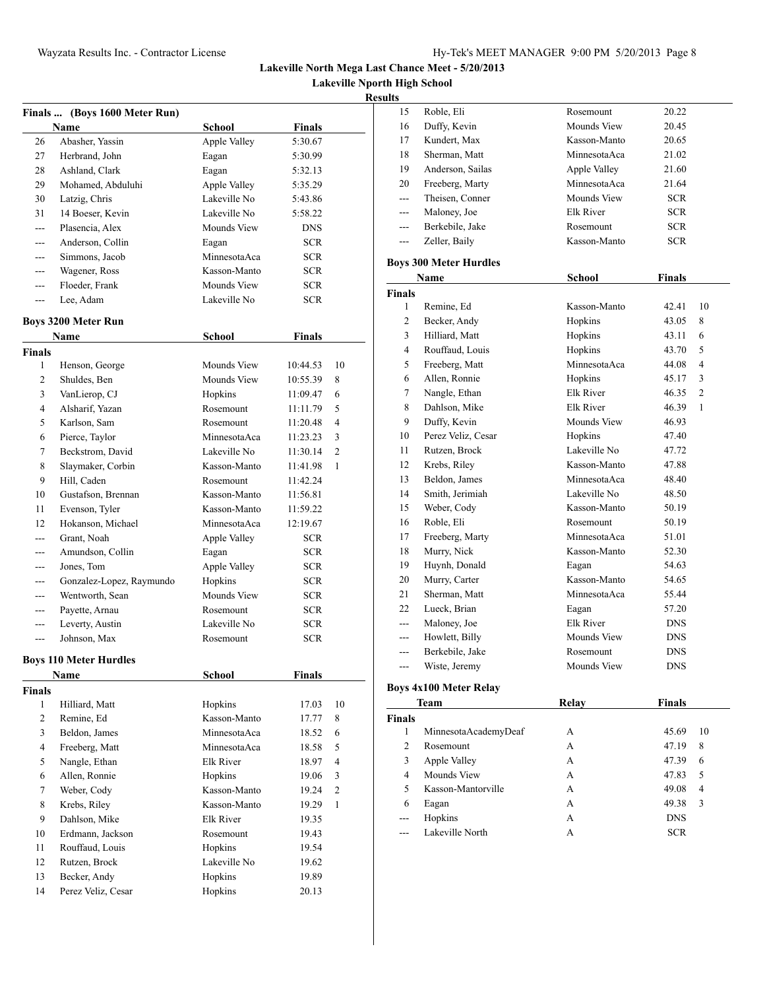**Lakeville Nporth High School**

### **Results**

|     | Finals  (Boys 1600 Meter Run) |              |               |
|-----|-------------------------------|--------------|---------------|
|     | Name                          | School       | <b>Finals</b> |
| 26  | Abasher, Yassin               | Apple Valley | 5:30.67       |
| 27  | Herbrand, John                | Eagan        | 5:30.99       |
| 28  | Ashland, Clark                | Eagan        | 5:32.13       |
| 29  | Mohamed, Abduluhi             | Apple Valley | 5:35.29       |
| 30  | Latzig, Chris                 | Lakeville No | 5:43.86       |
| 31  | 14 Boeser, Kevin              | Lakeville No | 5:58.22       |
| --- | Plasencia, Alex               | Mounds View  | <b>DNS</b>    |
| --- | Anderson, Collin              | Eagan        | <b>SCR</b>    |
| --- | Simmons, Jacob                | MinnesotaAca | <b>SCR</b>    |
| --- | Wagener, Ross                 | Kasson-Manto | <b>SCR</b>    |
|     | Floeder, Frank                | Mounds View  | <b>SCR</b>    |
| --- | Lee, Adam                     | Lakeville No | <b>SCR</b>    |
|     | <b>Boys 3200 Meter Run</b>    |              |               |
|     | Name                          | School       | <b>Finals</b> |

|                | ташс                     | pengal       | т шатэ     |                |  |
|----------------|--------------------------|--------------|------------|----------------|--|
| Finals         |                          |              |            |                |  |
| 1              | Henson, George           | Mounds View  | 10:44.53   | 10             |  |
| $\overline{2}$ | Shuldes, Ben             | Mounds View  | 10:55.39   | 8              |  |
| 3              | VanLierop, CJ            | Hopkins      | 11:09.47   | 6              |  |
| 4              | Alsharif, Yazan          | Rosemount    | 11:11.79   | 5              |  |
| 5              | Karlson, Sam             | Rosemount    | 11:20.48   | 4              |  |
| 6              | Pierce, Taylor           | MinnesotaAca | 11:23.23   | 3              |  |
| 7              | Beckstrom, David         | Lakeville No | 11:30.14   | $\overline{c}$ |  |
| 8              | Slaymaker, Corbin        | Kasson-Manto | 11:41.98   | 1              |  |
| 9              | Hill, Caden              | Rosemount    | 11:42.24   |                |  |
| 10             | Gustafson, Brennan       | Kasson-Manto | 11:56.81   |                |  |
| 11             | Evenson, Tyler           | Kasson-Manto | 11:59.22   |                |  |
| 12             | Hokanson, Michael        | MinnesotaAca | 12:19.67   |                |  |
|                | Grant, Noah              | Apple Valley | <b>SCR</b> |                |  |
|                | Amundson, Collin         | Eagan        | <b>SCR</b> |                |  |
|                | Jones, Tom               | Apple Valley | <b>SCR</b> |                |  |
| ---            | Gonzalez-Lopez, Raymundo | Hopkins      | <b>SCR</b> |                |  |
|                | Wentworth, Sean          | Mounds View  | <b>SCR</b> |                |  |
| ---            | Payette, Arnau           | Rosemount    | <b>SCR</b> |                |  |
|                | Leverty, Austin          | Lakeville No | <b>SCR</b> |                |  |
|                | Johnson, Max             | Rosemount    | <b>SCR</b> |                |  |

#### **Boys 110 Meter Hurdles**

|               | Name               | School       | <b>Finals</b> |                |
|---------------|--------------------|--------------|---------------|----------------|
| <b>Finals</b> |                    |              |               |                |
| 1             | Hilliard, Matt     | Hopkins      | 17.03         | 10             |
| 2             | Remine, Ed         | Kasson-Manto | 17.77         | 8              |
| 3             | Beldon, James      | MinnesotaAca | 18.52         | 6              |
| 4             | Freeberg, Matt     | MinnesotaAca | 18.58         | 5              |
| 5             | Nangle, Ethan      | Elk River    | 18.97         | 4              |
| 6             | Allen, Ronnie      | Hopkins      | 19.06         | 3              |
| 7             | Weber, Cody        | Kasson-Manto | 19.24         | $\overline{c}$ |
| 8             | Krebs, Riley       | Kasson-Manto | 19.29         | 1              |
| 9             | Dahlson, Mike      | Elk River    | 19.35         |                |
| 10            | Erdmann, Jackson   | Rosemount    | 19.43         |                |
| 11            | Rouffaud, Louis    | Hopkins      | 19.54         |                |
| 12            | Rutzen, Brock      | Lakeville No | 19.62         |                |
| 13            | Becker, Andy       | Hopkins      | 19.89         |                |
| 14            | Perez Veliz, Cesar | Hopkins      | 20.13         |                |
|               |                    |              |               |                |

| 15                       | Roble, Eli                    | Rosemount     | 20.22      |                |
|--------------------------|-------------------------------|---------------|------------|----------------|
| 16                       | Duffy, Kevin                  | Mounds View   | 20.45      |                |
| 17                       | Kundert, Max                  | Kasson-Manto  | 20.65      |                |
| 18                       | Sherman, Matt                 | MinnesotaAca  | 21.02      |                |
| 19                       | Anderson, Sailas              | Apple Valley  | 21.60      |                |
| 20                       | Freeberg, Marty               | MinnesotaAca  | 21.64      |                |
| ---                      | Theisen, Conner               | Mounds View   | <b>SCR</b> |                |
| ---                      | Maloney, Joe                  | Elk River     | <b>SCR</b> |                |
| ---                      | Berkebile, Jake               | Rosemount     | SCR.       |                |
| ---                      | Zeller, Baily                 | Kasson-Manto  | <b>SCR</b> |                |
|                          | <b>Boys 300 Meter Hurdles</b> |               |            |                |
|                          | Name                          | <b>School</b> | Finals     |                |
| Finals                   |                               |               |            |                |
| 1                        | Remine, Ed                    | Kasson-Manto  | 42.41      | 10             |
| 2                        | Becker, Andy                  | Hopkins       | 43.05      | 8              |
| 3                        | Hilliard, Matt                | Hopkins       | 43.11      | 6              |
| $\overline{\mathcal{L}}$ | Rouffaud, Louis               | Hopkins       | 43.70      | 5              |
| 5                        | Freeberg, Matt                | MinnesotaAca  | 44.08      | $\overline{4}$ |
| 6                        | Allen, Ronnie                 | Hopkins       | 45.17      | 3              |
| $\overline{7}$           | Nangle, Ethan                 | Elk River     | 46.35      | $\mathfrak{2}$ |
| 8                        | Dahlson, Mike                 | Elk River     | 46.39      | $\mathbf{1}$   |
| 9                        | Duffy, Kevin                  | Mounds View   | 46.93      |                |
| 10                       | Perez Veliz, Cesar            | Hopkins       | 47.40      |                |
| 11                       | Rutzen, Brock                 | Lakeville No  | 47.72      |                |
| 12                       | Krebs, Riley                  | Kasson-Manto  | 47.88      |                |
| 13                       | Beldon, James                 | MinnesotaAca  | 48.40      |                |
| 14                       | Smith, Jerimiah               | Lakeville No  | 48.50      |                |
| 15                       | Weber, Cody                   | Kasson-Manto  | 50.19      |                |
| 16                       | Roble, Eli                    | Rosemount     | 50.19      |                |
| 17                       | Freeberg, Marty               | MinnesotaAca  | 51.01      |                |
| 18                       | Murry, Nick                   | Kasson-Manto  | 52.30      |                |
| 19                       | Huynh, Donald                 | Eagan         | 54.63      |                |
| 20                       | Murry, Carter                 | Kasson-Manto  | 54.65      |                |
| 21                       | Sherman, Matt                 | MinnesotaAca  | 55.44      |                |
| 22                       | Lueck, Brian                  | Eagan         | 57.20      |                |
|                          | Maloney, Joe                  | Elk River     | <b>DNS</b> |                |
| ---                      | Howlett, Billy                | Mounds View   | <b>DNS</b> |                |
| ---                      | Berkebile, Jake               | Rosemount     | <b>DNS</b> |                |
| ---                      | Wiste, Jeremy                 | Mounds View   | DNS        |                |

# **Boys 4x100 Meter Relay**

|                | Team                 | Relay | <b>Finals</b> |    |
|----------------|----------------------|-------|---------------|----|
| Finals         |                      |       |               |    |
| 1              | MinnesotaAcademyDeaf | А     | 45.69         | 10 |
| $\overline{c}$ | Rosemount            | А     | 47.19         | 8  |
| 3              | Apple Valley         | А     | 47.39         | 6  |
| 4              | Mounds View          | А     | 47.83         | 5  |
| 5              | Kasson-Mantorville   | А     | 49.08         | 4  |
| 6              | Eagan                | А     | 49.38         | 3  |
|                | Hopkins              | A     | <b>DNS</b>    |    |
|                | Lakeville North      | А     | <b>SCR</b>    |    |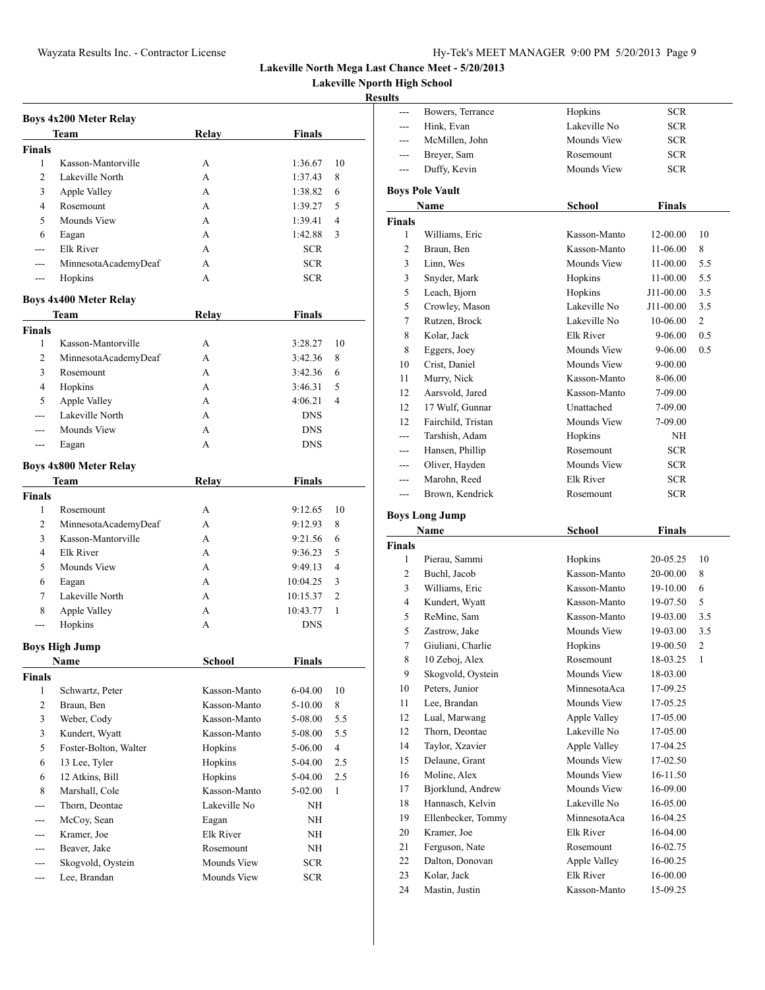**Lakeville Nporth High School**

|               | <b>Boys 4x200 Meter Relay</b> |                  |               |                |
|---------------|-------------------------------|------------------|---------------|----------------|
|               | Team                          | Relay            | <b>Finals</b> |                |
| <b>Finals</b> |                               |                  |               |                |
| 1             | Kasson-Mantorville            | А                | 1:36.67       | 10             |
| 2             | Lakeville North               | A                | 1:37.43       | 8              |
| 3             | Apple Valley                  | A                | 1:38.82       | 6              |
| 4             | Rosemount                     | A                | 1:39.27       | 5              |
| 5             | <b>Mounds View</b>            | A                | 1:39.41       | 4              |
| 6             | Eagan                         | A                | 1:42.88       | 3              |
| ---           | Elk River                     | A                | SCR           |                |
| ---           | MinnesotaAcademyDeaf          | A                | <b>SCR</b>    |                |
| $---$         | Hopkins                       | A                | <b>SCR</b>    |                |
|               |                               |                  |               |                |
|               | <b>Boys 4x400 Meter Relay</b> |                  |               |                |
|               | Team                          | Relay            | Finals        |                |
| <b>Finals</b> |                               |                  |               |                |
| 1             | Kasson-Mantorville            | А                | 3:28.27       | 10             |
| 2             | MinnesotaAcademyDeaf          | A                | 3:42.36       | 8              |
| 3             | Rosemount                     | A                | 3:42.36       | 6              |
| 4             | Hopkins                       | A                | 3:46.31       | 5              |
| 5             | Apple Valley                  | A                | 4:06.21       | $\overline{4}$ |
| ---           | Lakeville North               | A                | <b>DNS</b>    |                |
| ---           | Mounds View                   | A                | <b>DNS</b>    |                |
| ---           | Eagan                         | A                | <b>DNS</b>    |                |
|               | <b>Boys 4x800 Meter Relay</b> |                  |               |                |
|               | Team                          | Relay            | Finals        |                |
| Finals        |                               |                  |               |                |
| 1             | Rosemount                     | А                | 9:12.65       | 10             |
| 2             | MinnesotaAcademyDeaf          | A                | 9:12.93       | 8              |
| 3             | Kasson-Mantorville            | А                | 9:21.56       | 6              |
| 4             | Elk River                     | A                | 9:36.23       | 5              |
| 5             | Mounds View                   | A                | 9:49.13       | $\overline{4}$ |
| 6             | Eagan                         | A                | 10:04.25      | 3              |
| 7             | Lakeville North               | A                | 10:15.37      | 2              |
| 8             | Apple Valley                  | A                | 10:43.77      | $\mathbf{1}$   |
| ---           | Hopkins                       | A                | <b>DNS</b>    |                |
|               |                               |                  |               |                |
|               | <b>Boys High Jump</b>         |                  |               |                |
|               | Name                          | School           | Finals        |                |
| <b>Finals</b> |                               |                  |               |                |
| 1             | Schwartz, Peter               | Kasson-Manto     | 6-04.00       | 10             |
| 2             | Braun, Ben                    | Kasson-Manto     | 5-10.00       | 8              |
| 3             | Weber, Cody                   | Kasson-Manto     | 5-08.00       | 5.5            |
| 3             | Kundert, Wyatt                | Kasson-Manto     | 5-08.00       | 5.5            |
| 5             | Foster-Bolton, Walter         | Hopkins          | 5-06.00       | 4              |
| 6             | 13 Lee, Tyler                 | Hopkins          | 5-04.00       | 2.5            |
| 6             | 12 Atkins, Bill               | Hopkins          | 5-04.00       | 2.5            |
| 8             | Marshall, Cole                | Kasson-Manto     | 5-02.00       | 1              |
|               | Thorn. Deontae                | Lakeville No     | NΗ            |                |
| $---$         | McCoy, Sean                   | Eagan            | NH            |                |
| $---$         | Kramer, Joe                   | <b>Elk River</b> | NΗ            |                |
| $---$         | Beaver, Jake                  | Rosemount        | NΗ            |                |
| ---           | Skogvold, Oystein             | Mounds View      | <b>SCR</b>    |                |
| ---           | Lee, Brandan                  | Mounds View      | <b>SCR</b>    |                |
|               |                               |                  |               |                |

| ---            | Bowers, Terrance              | Hopkins                   | <b>SCR</b>           |                |
|----------------|-------------------------------|---------------------------|----------------------|----------------|
| ---            | Hink, Evan                    | Lakeville No              | <b>SCR</b>           |                |
|                | McMillen, John                | Mounds View               | <b>SCR</b>           |                |
| ---            | Breyer, Sam                   | Rosemount                 | <b>SCR</b>           |                |
| ---            | Duffy, Kevin                  | Mounds View               | <b>SCR</b>           |                |
|                | <b>Boys Pole Vault</b>        |                           |                      |                |
|                | Name                          | School                    | <b>Finals</b>        |                |
| <b>Finals</b>  |                               |                           |                      |                |
| 1              | Williams, Eric                | Kasson-Manto              | 12-00.00             | 10             |
| 2              | Braun, Ben                    | Kasson-Manto              | 11-06.00             | 8              |
| 3              | Linn, Wes                     | Mounds View               | 11-00.00             | 5.5            |
| 3              | Snyder, Mark                  | Hopkins                   | 11-00.00             | 5.5            |
| 5              | Leach, Bjorn                  | Hopkins                   | J11-00.00            | 3.5            |
| 5              | Crowley, Mason                | Lakeville No              | J11-00.00            | 3.5            |
| 7              | Rutzen, Brock                 | Lakeville No              | 10-06.00             | 2              |
| 8              | Kolar, Jack                   | Elk River                 | 9-06.00              | 0.5            |
| 8              | Eggers, Joey                  | Mounds View               | 9-06.00              | 0.5            |
| 10             | Crist, Daniel                 | Mounds View               | 9-00.00              |                |
| 11             | Murry, Nick                   | Kasson-Manto              | 8-06.00              |                |
| 12             | Aarsvold, Jared               | Kasson-Manto              | 7-09.00              |                |
| 12             | 17 Wulf, Gunnar               | Unattached                | 7-09.00              |                |
| 12             | Fairchild, Tristan            | Mounds View               | 7-09.00              |                |
| ---            | Tarshish, Adam                | Hopkins                   | NH                   |                |
| ---            | Hansen, Phillip               | Rosemount                 | <b>SCR</b>           |                |
| ---            | Oliver, Hayden                | Mounds View               | <b>SCR</b>           |                |
| ---            | Marohn, Reed                  | Elk River                 | SCR.                 |                |
| $---$          | Brown, Kendrick               | Rosemount                 | <b>SCR</b>           |                |
|                |                               |                           |                      |                |
|                |                               |                           |                      |                |
|                | <b>Boys Long Jump</b>         |                           |                      |                |
|                | Name                          | <b>School</b>             | <b>Finals</b>        |                |
| <b>Finals</b>  |                               |                           |                      |                |
| 1              | Pierau, Sammi                 | Hopkins                   | 20-05.25             | 10             |
| 2              | Buchl, Jacob                  | Kasson-Manto              | 20-00.00             | 8              |
| 3              | Williams, Eric                | Kasson-Manto              | 19-10.00             | 6              |
| $\overline{4}$ | Kundert, Wyatt                | Kasson-Manto              | 19-07.50             | 5              |
| 5              | ReMine, Sam                   | Kasson-Manto              | 19-03.00             | 3.5            |
| 5              | Zastrow, Jake                 | Mounds View               | 19-03.00             | 3.5            |
| 7              | Giuliani, Charlie             | Hopkins                   | 19-00.50             | $\overline{c}$ |
| 8              | 10 Zeboj, Alex                | Rosemount                 | 18-03.25             | 1              |
| 9              | Skogvold, Oystein             | Mounds View               | 18-03.00             |                |
| 10             | Peters, Junior                | MinnesotaAca              | 17-09.25             |                |
| 11             | Lee, Brandan                  | Mounds View               | 17-05.25             |                |
| 12             | Lual, Marwang                 | Apple Valley              | 17-05.00             |                |
| 12             | Thorn, Deontae                | Lakeville No              | 17-05.00             |                |
| 14             | Taylor, Xzavier               | Apple Valley              | 17-04.25             |                |
| 15             | Delaune, Grant                | Mounds View               | 17-02.50             |                |
| 16             | Moline, Alex                  | Mounds View               | 16-11.50             |                |
| 17             | Bjorklund, Andrew             | Mounds View               | 16-09.00             |                |
| 18             | Hannasch, Kelvin              | Lakeville No              | 16-05.00             |                |
| 19             | Ellenbecker, Tommy            | MinnesotaAca              | 16-04.25             |                |
| 20             | Kramer, Joe                   | Elk River                 | 16-04.00             |                |
| 21             | Ferguson, Nate                | Rosemount                 | 16-02.75             |                |
| 22             | Dalton, Donovan               | Apple Valley              | 16-00.25             |                |
| 23<br>24       | Kolar, Jack<br>Mastin, Justin | Elk River<br>Kasson-Manto | 16-00.00<br>15-09.25 |                |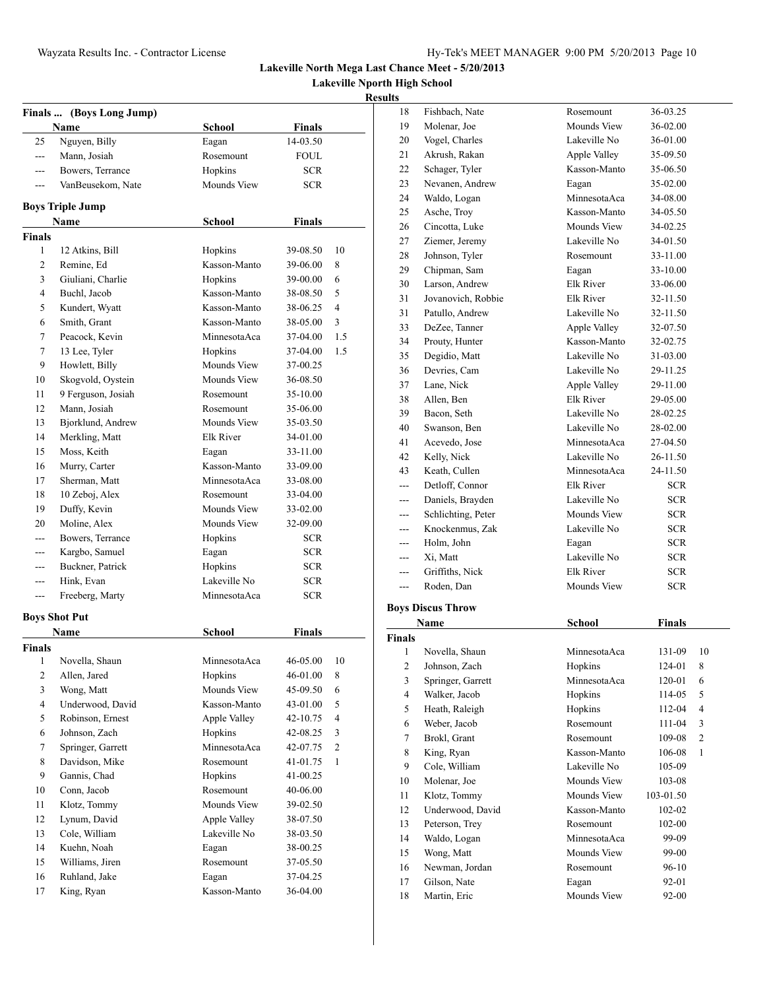**Lakeville Nporth High School**

| <b>Finals</b>      | (Boys Long Jump)                   |                        |                           |     |
|--------------------|------------------------------------|------------------------|---------------------------|-----|
| 25                 | Name<br>Nguyen, Billy              | School<br>Eagan        | <b>Finals</b><br>14-03.50 |     |
| $\overline{a}$     | Mann, Josiah                       | Rosemount              | FOUL                      |     |
| $---$              | Bowers, Terrance                   | Hopkins                | <b>SCR</b>                |     |
| ---                | VanBeusekom, Nate                  | Mounds View            | <b>SCR</b>                |     |
|                    |                                    |                        |                           |     |
|                    | <b>Boys Triple Jump</b>            |                        |                           |     |
|                    | Name                               | School                 | Finals                    |     |
| <b>Finals</b>      |                                    |                        |                           |     |
| 1                  | 12 Atkins, Bill                    | Hopkins                | 39-08.50                  | 10  |
| 2                  | Remine, Ed                         | Kasson-Manto           | 39-06.00                  | 8   |
| 3                  | Giuliani, Charlie                  | Hopkins                | 39-00.00                  | 6   |
| 4                  | Buchl, Jacob                       | Kasson-Manto           | 38-08.50                  | 5   |
| 5                  | Kundert, Wyatt                     | Kasson-Manto           | 38-06.25                  | 4   |
| 6                  | Smith, Grant                       | Kasson-Manto           | 38-05.00                  | 3   |
| 7                  | Peacock, Kevin                     | MinnesotaAca           | 37-04.00                  | 1.5 |
| 7                  | 13 Lee, Tyler<br>Howlett, Billy    | Hopkins<br>Mounds View | 37-04.00<br>37-00.25      | 1.5 |
| 9                  |                                    | Mounds View            | 36-08.50                  |     |
| 10                 | Skogvold, Oystein                  | Rosemount              |                           |     |
| 11<br>12           | 9 Ferguson, Josiah<br>Mann, Josiah | Rosemount              | 35-10.00<br>35-06.00      |     |
| 13                 | Bjorklund, Andrew                  | Mounds View            | 35-03.50                  |     |
| 14                 | Merkling, Matt                     | Elk River              | 34-01.00                  |     |
| 15                 | Moss, Keith                        | Eagan                  | 33-11.00                  |     |
| 16                 | Murry, Carter                      | Kasson-Manto           | 33-09.00                  |     |
| 17                 | Sherman, Matt                      | MinnesotaAca           | 33-08.00                  |     |
| 18                 | 10 Zeboj, Alex                     | Rosemount              | 33-04.00                  |     |
| 19                 | Duffy, Kevin                       | Mounds View            | 33-02.00                  |     |
| 20                 | Moline, Alex                       | Mounds View            | 32-09.00                  |     |
| $---$              | Bowers, Terrance                   | Hopkins                | <b>SCR</b>                |     |
|                    | Kargbo, Samuel                     | Eagan                  | <b>SCR</b>                |     |
| ---                | Buckner, Patrick                   | Hopkins                | <b>SCR</b>                |     |
| $---$              | Hink, Evan                         | Lakeville No           | <b>SCR</b>                |     |
| ---                | Freeberg, Marty                    | MinnesotaAca           | <b>SCR</b>                |     |
|                    |                                    |                        |                           |     |
|                    | <b>Boys Shot Put</b>               |                        |                           |     |
|                    | Name                               | School                 | Finals                    |     |
| <b>Finals</b><br>1 | Novella, Shaun                     | MinnesotaAca           | 46-05.00                  | 10  |
| 2                  | Allen, Jared                       | Hopkins                | 46-01.00                  | 8   |
| 3                  | Wong, Matt                         | Mounds View            | 45-09.50                  | 6   |
| 4                  | Underwood, David                   | Kasson-Manto           | 43-01.00                  | 5   |
| 5                  | Robinson, Ernest                   | Apple Valley           | 42-10.75                  | 4   |
| 6                  | Johnson, Zach                      | Hopkins                | 42-08.25                  | 3   |
| 7                  | Springer, Garrett                  | MinnesotaAca           | 42-07.75                  | 2   |
| 8                  | Davidson, Mike                     | Rosemount              | 41-01.75                  | 1   |
| 9                  | Gannis, Chad                       | Hopkins                | 41-00.25                  |     |
| 10                 | Conn, Jacob                        | Rosemount              | 40-06.00                  |     |
| 11                 | Klotz, Tommy                       | Mounds View            | 39-02.50                  |     |
| 12                 | Lynum, David                       | Apple Valley           | 38-07.50                  |     |
| 13                 | Cole, William                      | Lakeville No           | 38-03.50                  |     |
| 14                 | Kuehn, Noah                        | Eagan                  | 38-00.25                  |     |
| 15                 | Williams, Jiren                    | Rosemount              | 37-05.50                  |     |
| 16                 | Ruhland, Jake                      | Eagan                  | 37-04.25                  |     |
| 17                 | King, Ryan                         | Kasson-Manto           | 36-04.00                  |     |

| 18                      | Fishbach, Nate               | Rosemount            | 36-03.25       |         |
|-------------------------|------------------------------|----------------------|----------------|---------|
| 19                      | Molenar, Joe                 | Mounds View          | 36-02.00       |         |
| 20                      | Vogel, Charles               | Lakeville No         | 36-01.00       |         |
| 21                      | Akrush, Rakan                | Apple Valley         | 35-09.50       |         |
| 22                      | Schager, Tyler               | Kasson-Manto         | 35-06.50       |         |
| 23                      | Nevanen, Andrew              | Eagan                | 35-02.00       |         |
| 24                      | Waldo, Logan                 | MinnesotaAca         | 34-08.00       |         |
| 25                      | Asche, Troy                  | Kasson-Manto         | 34-05.50       |         |
| 26                      | Cincotta, Luke               | Mounds View          | 34-02.25       |         |
| 27                      | Ziemer, Jeremy               | Lakeville No         | 34-01.50       |         |
| 28                      | Johnson, Tyler               | Rosemount            | 33-11.00       |         |
| 29                      | Chipman, Sam                 | Eagan                | 33-10.00       |         |
| 30                      | Larson, Andrew               | Elk River            | 33-06.00       |         |
| 31                      | Jovanovich, Robbie           | Elk River            | 32-11.50       |         |
| 31                      | Patullo, Andrew              | Lakeville No         | 32-11.50       |         |
| 33                      | DeZee, Tanner                | Apple Valley         | 32-07.50       |         |
| 34                      | Prouty, Hunter               | Kasson-Manto         | 32-02.75       |         |
| 35                      | Degidio, Matt                | Lakeville No         | 31-03.00       |         |
| 36                      | Devries, Cam                 | Lakeville No         | 29-11.25       |         |
| 37                      | Lane, Nick                   | Apple Valley         | 29-11.00       |         |
| 38                      | Allen, Ben                   | <b>Elk River</b>     | 29-05.00       |         |
| 39                      | Bacon, Seth                  | Lakeville No         | 28-02.25       |         |
| 40                      | Swanson, Ben                 | Lakeville No         | 28-02.00       |         |
| 41                      | Acevedo, Jose                | MinnesotaAca         | 27-04.50       |         |
| 42                      | Kelly, Nick                  | Lakeville No         | 26-11.50       |         |
| 43                      | Keath, Cullen                | MinnesotaAca         | 24-11.50       |         |
| ---                     | Detloff, Connor              | Elk River            | SCR.           |         |
| ---                     | Daniels, Brayden             | Lakeville No         | SCR.           |         |
| ---                     | Schlichting, Peter           | Mounds View          | <b>SCR</b>     |         |
|                         |                              |                      |                |         |
| ---                     | Knockenmus, Zak              | Lakeville No         | <b>SCR</b>     |         |
| ---                     | Holm, John                   | Eagan                | SCR.           |         |
| ---                     | Xi, Matt                     | Lakeville No         | <b>SCR</b>     |         |
| ---                     | Griffiths, Nick              | Elk River            | SCR.           |         |
| $---$                   | Roden, Dan                   | Mounds View          | SCR.           |         |
|                         |                              |                      |                |         |
|                         | <b>Boys Discus Throw</b>     |                      |                |         |
|                         | Name                         | <b>School</b>        | Finals         |         |
| Finals                  |                              |                      |                |         |
| 1                       | Novella, Shaun               | MinnesotaAca         | 131-09         | 10      |
| $\overline{\mathbf{c}}$ | Johnson, Zach                | Hopkins              | 124-01         | $\,8\,$ |
| 3                       | Springer, Garrett            | MinnesotaAca         | 120-01         | 6       |
| $\overline{\mathbf{4}}$ | Walker, Jacob                | Hopkins              | 114-05         | 5       |
| 5                       | Heath, Raleigh               | Hopkins              | 112-04         | 4       |
| 6                       | Weber, Jacob                 | Rosemount            | 111-04         | 3       |
| 7                       | Brokl, Grant                 | Rosemount            | 109-08         | 2       |
| 8                       | King, Ryan                   | Kasson-Manto         | 106-08         | 1       |
| 9                       | Cole, William                | Lakeville No         | 105-09         |         |
| 10                      | Molenar, Joe                 | Mounds View          | 103-08         |         |
| 11                      | Klotz, Tommy                 | Mounds View          | 103-01.50      |         |
| 12                      | Underwood, David             | Kasson-Manto         | 102-02         |         |
| 13                      | Peterson, Trey               | Rosemount            | 102-00         |         |
| 14                      | Waldo, Logan                 | MinnesotaAca         | 99-09          |         |
| 15                      | Wong, Matt                   | Mounds View          | 99-00          |         |
| 16                      | Newman, Jordan               | Rosemount            | 96-10          |         |
| 17<br>18                | Gilson, Nate<br>Martin, Eric | Eagan<br>Mounds View | 92-01<br>92-00 |         |